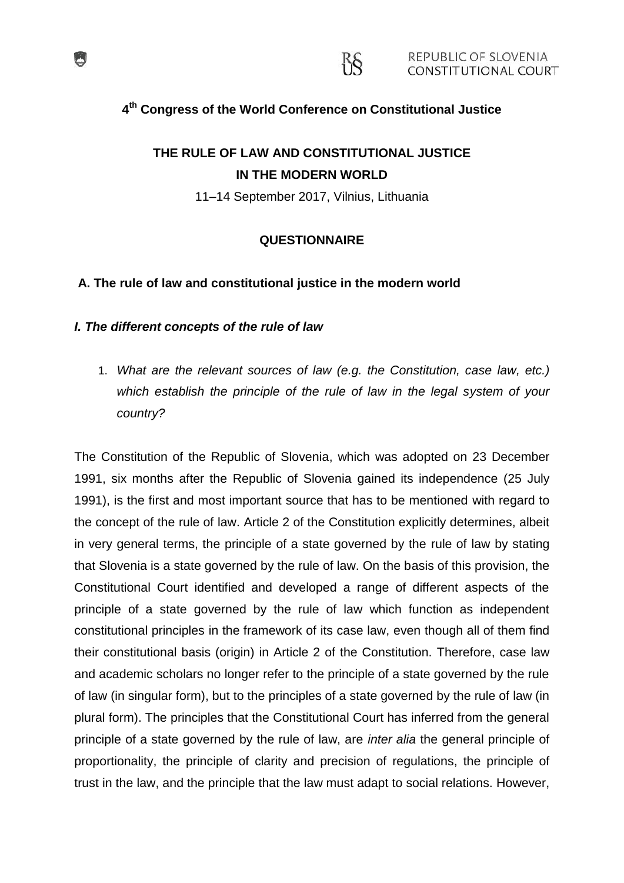### **4 th Congress of the World Conference on Constitutional Justice**

RS.

# **THE RULE OF LAW AND CONSTITUTIONAL JUSTICE IN THE MODERN WORLD**

11–14 September 2017, Vilnius, Lithuania

### **QUESTIONNAIRE**

#### **A. The rule of law and constitutional justice in the modern world**

#### *I. The different concepts of the rule of law*

1. *What are the relevant sources of law (e.g. the Constitution, case law, etc.) which establish the principle of the rule of law in the legal system of your country?* 

The Constitution of the Republic of Slovenia, which was adopted on 23 December 1991, six months after the Republic of Slovenia gained its independence (25 July 1991), is the first and most important source that has to be mentioned with regard to the concept of the rule of law. Article 2 of the Constitution explicitly determines, albeit in very general terms, the principle of a state governed by the rule of law by stating that Slovenia is a state governed by the rule of law. On the basis of this provision, the Constitutional Court identified and developed a range of different aspects of the principle of a state governed by the rule of law which function as independent constitutional principles in the framework of its case law, even though all of them find their constitutional basis (origin) in Article 2 of the Constitution. Therefore, case law and academic scholars no longer refer to the principle of a state governed by the rule of law (in singular form), but to the principles of a state governed by the rule of law (in plural form). The principles that the Constitutional Court has inferred from the general principle of a state governed by the rule of law, are *inter alia* the general principle of proportionality, the principle of clarity and precision of regulations, the principle of trust in the law, and the principle that the law must adapt to social relations. However,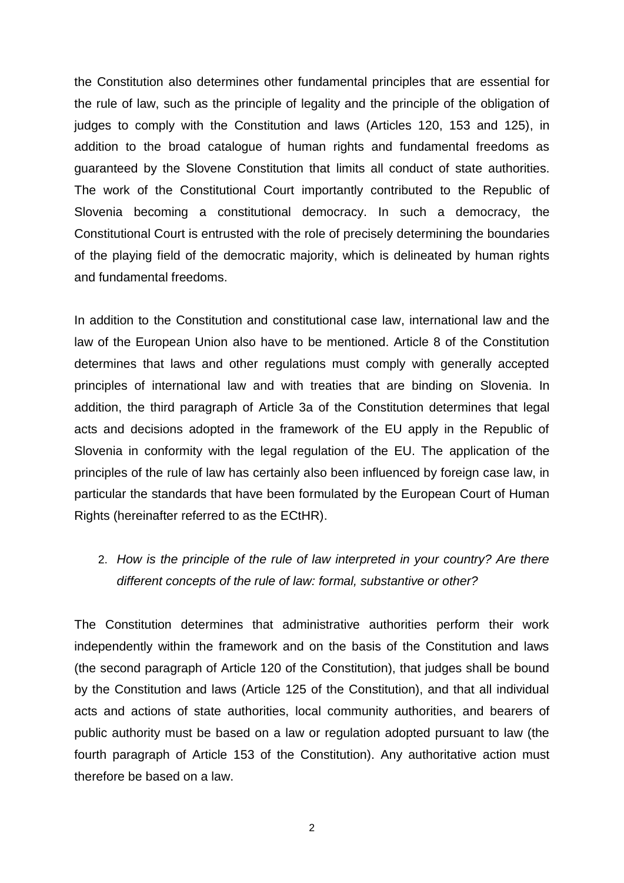the Constitution also determines other fundamental principles that are essential for the rule of law, such as the principle of legality and the principle of the obligation of judges to comply with the Constitution and laws (Articles 120, 153 and 125), in addition to the broad catalogue of human rights and fundamental freedoms as guaranteed by the Slovene Constitution that limits all conduct of state authorities. The work of the Constitutional Court importantly contributed to the Republic of Slovenia becoming a constitutional democracy. In such a democracy, the Constitutional Court is entrusted with the role of precisely determining the boundaries of the playing field of the democratic majority, which is delineated by human rights and fundamental freedoms.

In addition to the Constitution and constitutional case law, international law and the law of the European Union also have to be mentioned. Article 8 of the Constitution determines that laws and other regulations must comply with generally accepted principles of international law and with treaties that are binding on Slovenia. In addition, the third paragraph of Article 3a of the Constitution determines that legal acts and decisions adopted in the framework of the EU apply in the Republic of Slovenia in conformity with the legal regulation of the EU. The application of the principles of the rule of law has certainly also been influenced by foreign case law, in particular the standards that have been formulated by the European Court of Human Rights (hereinafter referred to as the ECtHR).

# 2. *How is the principle of the rule of law interpreted in your country? Are there different concepts of the rule of law: formal, substantive or other?*

The Constitution determines that administrative authorities perform their work independently within the framework and on the basis of the Constitution and laws (the second paragraph of Article 120 of the Constitution), that judges shall be bound by the Constitution and laws (Article 125 of the Constitution), and that all individual acts and actions of state authorities, local community authorities, and bearers of public authority must be based on a law or regulation adopted pursuant to law (the fourth paragraph of Article 153 of the Constitution). Any authoritative action must therefore be based on a law.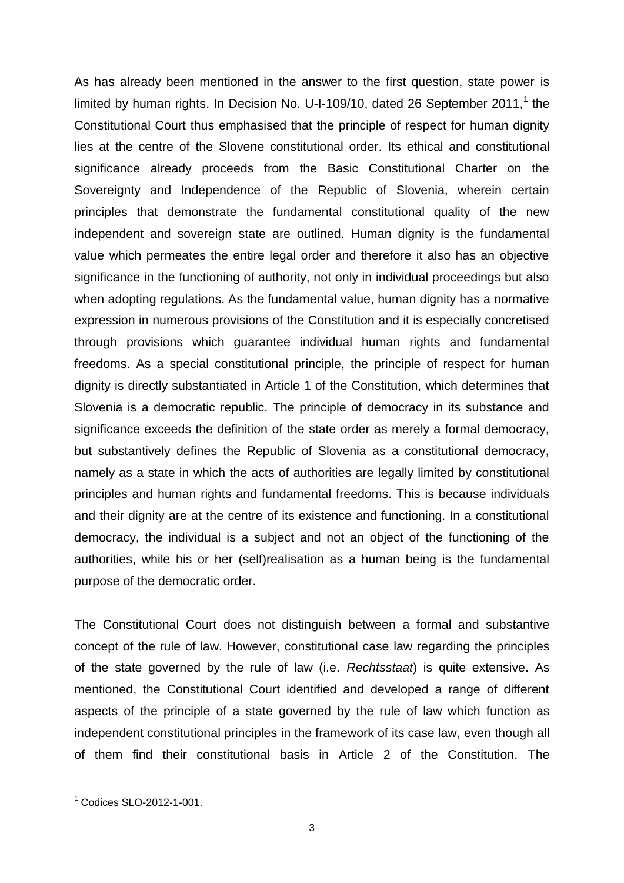As has already been mentioned in the answer to the first question, state power is limited by human rights. In Decision No. U-I-109/10, dated 26 September 2011,<sup>1</sup> the Constitutional Court thus emphasised that the principle of respect for human dignity lies at the centre of the Slovene constitutional order. Its ethical and constitutional significance already proceeds from the Basic Constitutional Charter on the Sovereignty and Independence of the Republic of Slovenia, wherein certain principles that demonstrate the fundamental constitutional quality of the new independent and sovereign state are outlined. Human dignity is the fundamental value which permeates the entire legal order and therefore it also has an objective significance in the functioning of authority, not only in individual proceedings but also when adopting regulations. As the fundamental value, human dignity has a normative expression in numerous provisions of the Constitution and it is especially concretised through provisions which guarantee individual human rights and fundamental freedoms. As a special constitutional principle, the principle of respect for human dignity is directly substantiated in Article 1 of the Constitution, which determines that Slovenia is a democratic republic. The principle of democracy in its substance and significance exceeds the definition of the state order as merely a formal democracy, but substantively defines the Republic of Slovenia as a constitutional democracy, namely as a state in which the acts of authorities are legally limited by constitutional principles and human rights and fundamental freedoms. This is because individuals and their dignity are at the centre of its existence and functioning. In a constitutional democracy, the individual is a subject and not an object of the functioning of the authorities, while his or her (self)realisation as a human being is the fundamental purpose of the democratic order.

The Constitutional Court does not distinguish between a formal and substantive concept of the rule of law. However, constitutional case law regarding the principles of the state governed by the rule of law (i.e. *Rechtsstaat*) is quite extensive. As mentioned, the Constitutional Court identified and developed a range of different aspects of the principle of a state governed by the rule of law which function as independent constitutional principles in the framework of its case law, even though all of them find their constitutional basis in Article 2 of the Constitution. The

 $1$  Codices SLO-2012-1-001.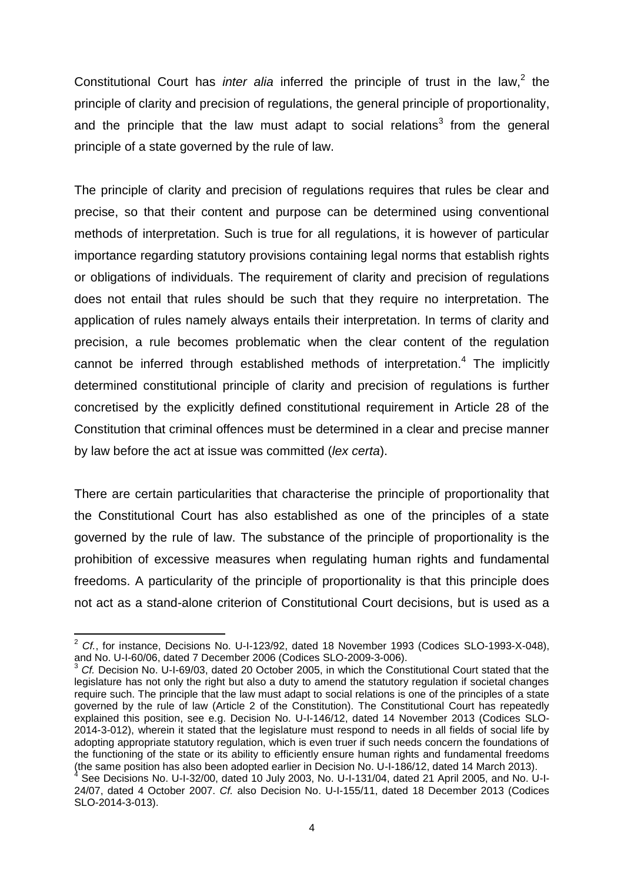Constitutional Court has *inter alia* inferred the principle of trust in the law,<sup>2</sup> the principle of clarity and precision of regulations, the general principle of proportionality, and the principle that the law must adapt to social relations<sup>3</sup> from the general principle of a state governed by the rule of law.

The principle of clarity and precision of regulations requires that rules be clear and precise, so that their content and purpose can be determined using conventional methods of interpretation. Such is true for all regulations, it is however of particular importance regarding statutory provisions containing legal norms that establish rights or obligations of individuals. The requirement of clarity and precision of regulations does not entail that rules should be such that they require no interpretation. The application of rules namely always entails their interpretation. In terms of clarity and precision, a rule becomes problematic when the clear content of the regulation cannot be inferred through established methods of interpretation.<sup>4</sup> The implicitly determined constitutional principle of clarity and precision of regulations is further concretised by the explicitly defined constitutional requirement in Article 28 of the Constitution that criminal offences must be determined in a clear and precise manner by law before the act at issue was committed (*lex certa*).

There are certain particularities that characterise the principle of proportionality that the Constitutional Court has also established as one of the principles of a state governed by the rule of law. The substance of the principle of proportionality is the prohibition of excessive measures when regulating human rights and fundamental freedoms. A particularity of the principle of proportionality is that this principle does not act as a stand-alone criterion of Constitutional Court decisions, but is used as a

<sup>2</sup> *Cf.*, for instance, Decisions No. U-I-123/92, dated 18 November 1993 (Codices SLO-1993-X-048), and No. U-I-60/06, dated 7 December 2006 (Codices SLO-2009-3-006).

<sup>3</sup> *Cf.* Decision No. U-I-69/03, dated 20 October 2005, in which the Constitutional Court stated that the legislature has not only the right but also a duty to amend the statutory regulation if societal changes require such. The principle that the law must adapt to social relations is one of the principles of a state governed by the rule of law (Article 2 of the Constitution). The Constitutional Court has repeatedly explained this position, see e.g. Decision No. U-I-146/12, dated 14 November 2013 (Codices SLO-2014-3-012), wherein it stated that the legislature must respond to needs in all fields of social life by adopting appropriate statutory regulation, which is even truer if such needs concern the foundations of the functioning of the state or its ability to efficiently ensure human rights and fundamental freedoms (the same position has also been adopted earlier in Decision No. U-I-186/12, dated 14 March 2013).

<sup>4</sup> See Decisions No. U-I-32/00, dated 10 July 2003, No. U-I-131/04, dated 21 April 2005, and No. U-I-24/07, dated 4 October 2007. *Cf.* also Decision No. U-I-155/11, dated 18 December 2013 (Codices SLO-2014-3-013).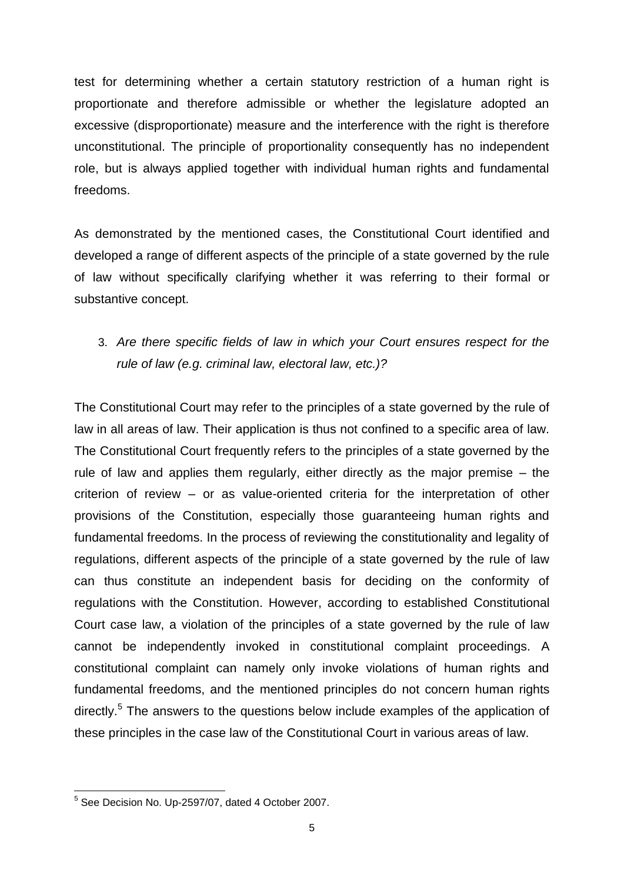test for determining whether a certain statutory restriction of a human right is proportionate and therefore admissible or whether the legislature adopted an excessive (disproportionate) measure and the interference with the right is therefore unconstitutional. The principle of proportionality consequently has no independent role, but is always applied together with individual human rights and fundamental freedoms.

As demonstrated by the mentioned cases, the Constitutional Court identified and developed a range of different aspects of the principle of a state governed by the rule of law without specifically clarifying whether it was referring to their formal or substantive concept.

# 3. *Are there specific fields of law in which your Court ensures respect for the rule of law (e.g. criminal law, electoral law, etc.)?*

The Constitutional Court may refer to the principles of a state governed by the rule of law in all areas of law. Their application is thus not confined to a specific area of law. The Constitutional Court frequently refers to the principles of a state governed by the rule of law and applies them regularly, either directly as the major premise – the criterion of review – or as value-oriented criteria for the interpretation of other provisions of the Constitution, especially those guaranteeing human rights and fundamental freedoms. In the process of reviewing the constitutionality and legality of regulations, different aspects of the principle of a state governed by the rule of law can thus constitute an independent basis for deciding on the conformity of regulations with the Constitution. However, according to established Constitutional Court case law, a violation of the principles of a state governed by the rule of law cannot be independently invoked in constitutional complaint proceedings. A constitutional complaint can namely only invoke violations of human rights and fundamental freedoms, and the mentioned principles do not concern human rights directly.<sup>5</sup> The answers to the questions below include examples of the application of these principles in the case law of the Constitutional Court in various areas of law.

 5 See Decision No. Up-2597/07, dated 4 October 2007.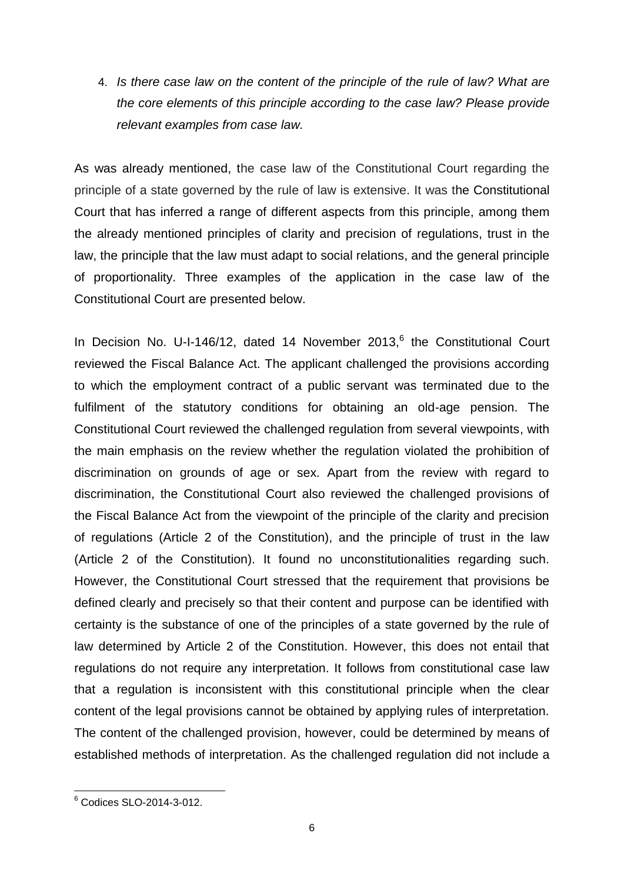4. *Is there case law on the content of the principle of the rule of law? What are the core elements of this principle according to the case law? Please provide relevant examples from case law.* 

As was already mentioned, the case law of the Constitutional Court regarding the principle of a state governed by the rule of law is extensive. It was the Constitutional Court that has inferred a range of different aspects from this principle, among them the already mentioned principles of clarity and precision of regulations, trust in the law, the principle that the law must adapt to social relations, and the general principle of proportionality. Three examples of the application in the case law of the Constitutional Court are presented below.

In Decision No. U-I-146/12, dated 14 November 2013, $<sup>6</sup>$  the Constitutional Court</sup> reviewed the Fiscal Balance Act. The applicant challenged the provisions according to which the employment contract of a public servant was terminated due to the fulfilment of the statutory conditions for obtaining an old-age pension. The Constitutional Court reviewed the challenged regulation from several viewpoints, with the main emphasis on the review whether the regulation violated the prohibition of discrimination on grounds of age or sex. Apart from the review with regard to discrimination, the Constitutional Court also reviewed the challenged provisions of the Fiscal Balance Act from the viewpoint of the principle of the clarity and precision of regulations (Article 2 of the Constitution), and the principle of trust in the law (Article 2 of the Constitution). It found no unconstitutionalities regarding such. However, the Constitutional Court stressed that the requirement that provisions be defined clearly and precisely so that their content and purpose can be identified with certainty is the substance of one of the principles of a state governed by the rule of law determined by Article 2 of the Constitution. However, this does not entail that regulations do not require any interpretation. It follows from constitutional case law that a regulation is inconsistent with this constitutional principle when the clear content of the legal provisions cannot be obtained by applying rules of interpretation. The content of the challenged provision, however, could be determined by means of established methods of interpretation. As the challenged regulation did not include a

 $6$  Codices SLO-2014-3-012.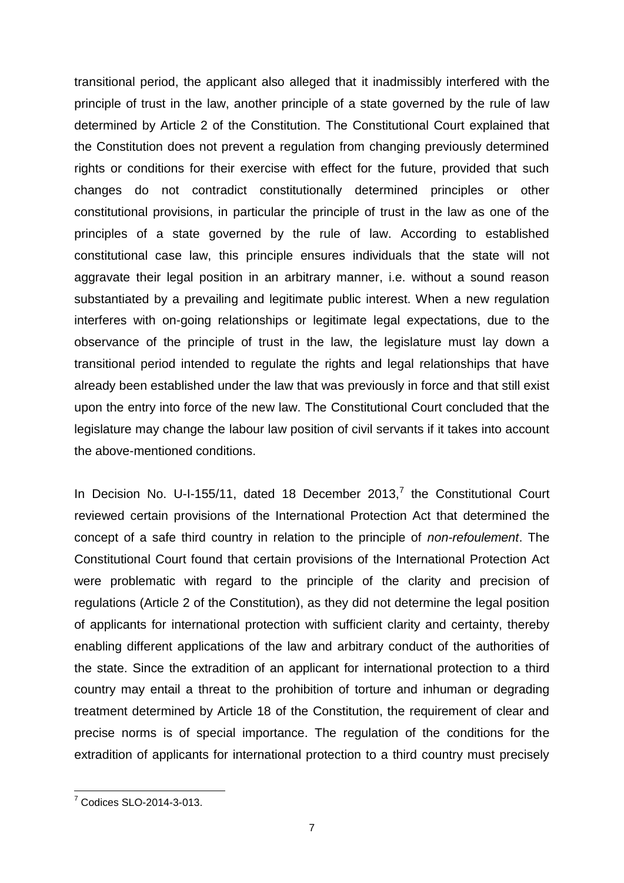transitional period, the applicant also alleged that it inadmissibly interfered with the principle of trust in the law, another principle of a state governed by the rule of law determined by Article 2 of the Constitution. The Constitutional Court explained that the Constitution does not prevent a regulation from changing previously determined rights or conditions for their exercise with effect for the future, provided that such changes do not contradict constitutionally determined principles or other constitutional provisions, in particular the principle of trust in the law as one of the principles of a state governed by the rule of law. According to established constitutional case law, this principle ensures individuals that the state will not aggravate their legal position in an arbitrary manner, i.e. without a sound reason substantiated by a prevailing and legitimate public interest. When a new regulation interferes with on-going relationships or legitimate legal expectations, due to the observance of the principle of trust in the law, the legislature must lay down a transitional period intended to regulate the rights and legal relationships that have already been established under the law that was previously in force and that still exist upon the entry into force of the new law. The Constitutional Court concluded that the legislature may change the labour law position of civil servants if it takes into account the above-mentioned conditions.

In Decision No. U-I-155/11, dated 18 December 2013, $^7$  the Constitutional Court reviewed certain provisions of the International Protection Act that determined the concept of a safe third country in relation to the principle of *non-refoulement*. The Constitutional Court found that certain provisions of the International Protection Act were problematic with regard to the principle of the clarity and precision of regulations (Article 2 of the Constitution), as they did not determine the legal position of applicants for international protection with sufficient clarity and certainty, thereby enabling different applications of the law and arbitrary conduct of the authorities of the state. Since the extradition of an applicant for international protection to a third country may entail a threat to the prohibition of torture and inhuman or degrading treatment determined by Article 18 of the Constitution, the requirement of clear and precise norms is of special importance. The regulation of the conditions for the extradition of applicants for international protection to a third country must precisely

<sup>7</sup> Codices SLO-2014-3-013.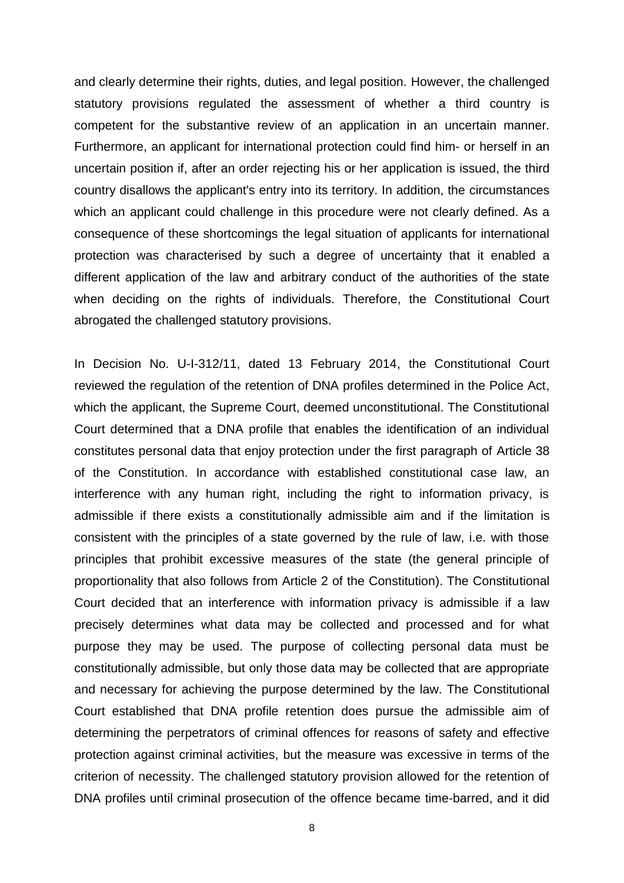and clearly determine their rights, duties, and legal position. However, the challenged statutory provisions regulated the assessment of whether a third country is competent for the substantive review of an application in an uncertain manner. Furthermore, an applicant for international protection could find him- or herself in an uncertain position if, after an order rejecting his or her application is issued, the third country disallows the applicant's entry into its territory. In addition, the circumstances which an applicant could challenge in this procedure were not clearly defined. As a consequence of these shortcomings the legal situation of applicants for international protection was characterised by such a degree of uncertainty that it enabled a different application of the law and arbitrary conduct of the authorities of the state when deciding on the rights of individuals. Therefore, the Constitutional Court abrogated the challenged statutory provisions.

In Decision No. U-I-312/11, dated 13 February 2014, the Constitutional Court reviewed the regulation of the retention of DNA profiles determined in the Police Act, which the applicant, the Supreme Court, deemed unconstitutional. The Constitutional Court determined that a DNA profile that enables the identification of an individual constitutes personal data that enjoy protection under the first paragraph of Article 38 of the Constitution. In accordance with established constitutional case law, an interference with any human right, including the right to information privacy, is admissible if there exists a constitutionally admissible aim and if the limitation is consistent with the principles of a state governed by the rule of law, i.e. with those principles that prohibit excessive measures of the state (the general principle of proportionality that also follows from Article 2 of the Constitution). The Constitutional Court decided that an interference with information privacy is admissible if a law precisely determines what data may be collected and processed and for what purpose they may be used. The purpose of collecting personal data must be constitutionally admissible, but only those data may be collected that are appropriate and necessary for achieving the purpose determined by the law. The Constitutional Court established that DNA profile retention does pursue the admissible aim of determining the perpetrators of criminal offences for reasons of safety and effective protection against criminal activities, but the measure was excessive in terms of the criterion of necessity. The challenged statutory provision allowed for the retention of DNA profiles until criminal prosecution of the offence became time-barred, and it did

8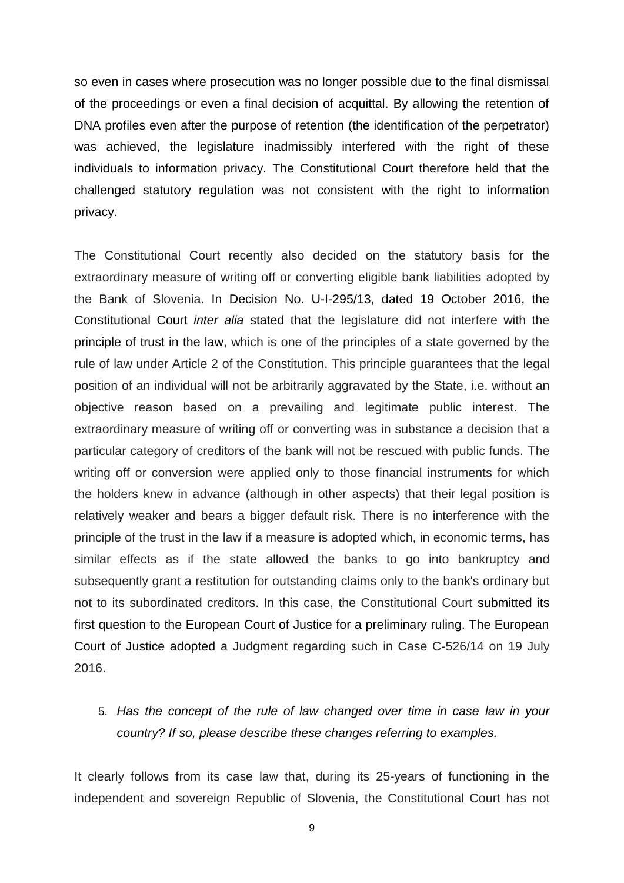so even in cases where prosecution was no longer possible due to the final dismissal of the proceedings or even a final decision of acquittal. By allowing the retention of DNA profiles even after the purpose of retention (the identification of the perpetrator) was achieved, the legislature inadmissibly interfered with the right of these individuals to information privacy. The Constitutional Court therefore held that the challenged statutory regulation was not consistent with the right to information privacy.

The Constitutional Court recently also decided on the statutory basis for the extraordinary measure of writing off or converting eligible bank liabilities adopted by the Bank of Slovenia. In Decision No. U-I-295/13, dated 19 October 2016, the Constitutional Court *inter alia* stated that the legislature did not interfere with the principle of trust in the law, which is one of the principles of a state governed by the rule of law under Article 2 of the Constitution. This principle guarantees that the legal position of an individual will not be arbitrarily aggravated by the State, i.e. without an objective reason based on a prevailing and legitimate public interest. The extraordinary measure of writing off or converting was in substance a decision that a particular category of creditors of the bank will not be rescued with public funds. The writing off or conversion were applied only to those financial instruments for which the holders knew in advance (although in other aspects) that their legal position is relatively weaker and bears a bigger default risk. There is no interference with the principle of the trust in the law if a measure is adopted which, in economic terms, has similar effects as if the state allowed the banks to go into bankruptcy and subsequently grant a restitution for outstanding claims only to the bank's ordinary but not to its subordinated creditors. In this case, the Constitutional Court submitted its first question to the European Court of Justice for a preliminary ruling. The European Court of Justice adopted a Judgment regarding such in Case C-526/14 on 19 July 2016.

5. *Has the concept of the rule of law changed over time in case law in your country? If so, please describe these changes referring to examples.* 

It clearly follows from its case law that, during its 25-years of functioning in the independent and sovereign Republic of Slovenia, the Constitutional Court has not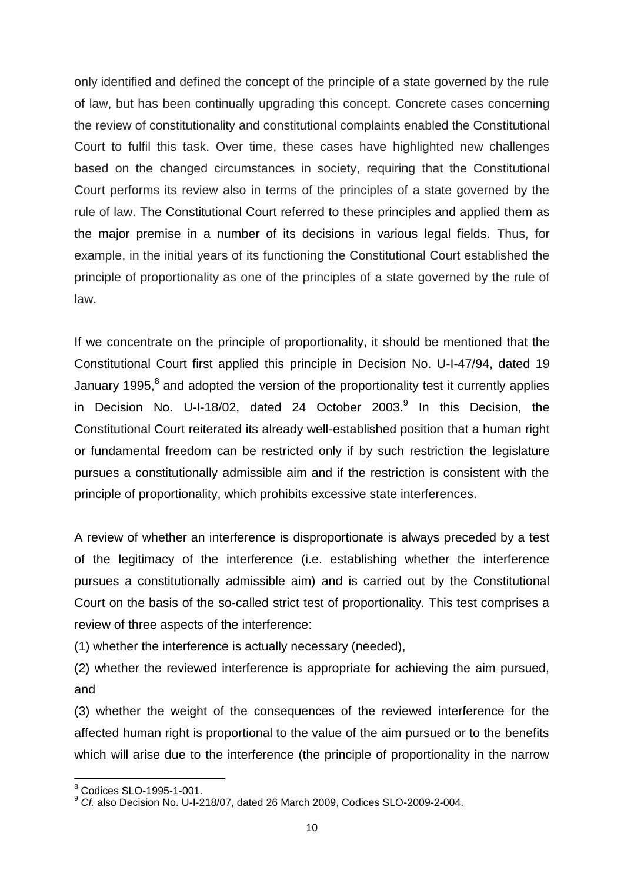only identified and defined the concept of the principle of a state governed by the rule of law, but has been continually upgrading this concept. Concrete cases concerning the review of constitutionality and constitutional complaints enabled the Constitutional Court to fulfil this task. Over time, these cases have highlighted new challenges based on the changed circumstances in society, requiring that the Constitutional Court performs its review also in terms of the principles of a state governed by the rule of law. The Constitutional Court referred to these principles and applied them as the major premise in a number of its decisions in various legal fields. Thus, for example, in the initial years of its functioning the Constitutional Court established the principle of proportionality as one of the principles of a state governed by the rule of law.

If we concentrate on the principle of proportionality, it should be mentioned that the Constitutional Court first applied this principle in Decision No. U-I-47/94, dated 19 January 1995,<sup>8</sup> and adopted the version of the proportionality test it currently applies in Decision No. U-I-18/02, dated 24 October 2003.<sup>9</sup> In this Decision, the Constitutional Court reiterated its already well-established position that a human right or fundamental freedom can be restricted only if by such restriction the legislature pursues a constitutionally admissible aim and if the restriction is consistent with the principle of proportionality, which prohibits excessive state interferences.

A review of whether an interference is disproportionate is always preceded by a test of the legitimacy of the interference (i.e. establishing whether the interference pursues a constitutionally admissible aim) and is carried out by the Constitutional Court on the basis of the so-called strict test of proportionality. This test comprises a review of three aspects of the interference:

(1) whether the interference is actually necessary (needed),

(2) whether the reviewed interference is appropriate for achieving the aim pursued, and

(3) whether the weight of the consequences of the reviewed interference for the affected human right is proportional to the value of the aim pursued or to the benefits which will arise due to the interference (the principle of proportionality in the narrow

 $\overline{a}$  $8$  Codices SLO-1995-1-001.

<sup>9</sup> *Cf.* also Decision No. U-I-218/07, dated 26 March 2009, Codices SLO-2009-2-004.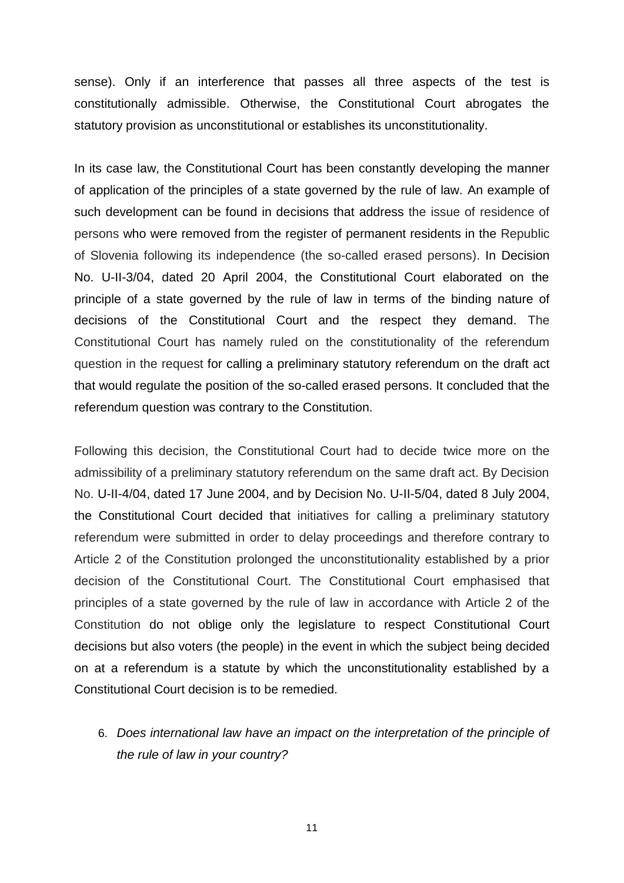sense). Only if an interference that passes all three aspects of the test is constitutionally admissible. Otherwise, the Constitutional Court abrogates the statutory provision as unconstitutional or establishes its unconstitutionality.

In its case law, the Constitutional Court has been constantly developing the manner of application of the principles of a state governed by the rule of law. An example of such development can be found in decisions that address the issue of residence of persons who were removed from the register of permanent residents in the Republic of Slovenia following its independence (the so-called erased persons). In Decision No. U-II-3/04, dated 20 April 2004, the Constitutional Court elaborated on the principle of a state governed by the rule of law in terms of the binding nature of decisions of the Constitutional Court and the respect they demand. The Constitutional Court has namely ruled on the constitutionality of the referendum question in the request for calling a preliminary statutory referendum on the draft act that would regulate the position of the so-called erased persons. It concluded that the referendum question was contrary to the Constitution.

Following this decision, the Constitutional Court had to decide twice more on the admissibility of a preliminary statutory referendum on the same draft act. By Decision No. U-II-4/04, dated 17 June 2004, and by Decision No. U-II-5/04, dated 8 July 2004, the Constitutional Court decided that initiatives for calling a preliminary statutory referendum were submitted in order to delay proceedings and therefore contrary to Article 2 of the Constitution prolonged the unconstitutionality established by a prior decision of the Constitutional Court. The Constitutional Court emphasised that principles of a state governed by the rule of law in accordance with Article 2 of the Constitution do not oblige only the legislature to respect Constitutional Court decisions but also voters (the people) in the event in which the subject being decided on at a referendum is a statute by which the unconstitutionality established by a Constitutional Court decision is to be remedied.

6. *Does international law have an impact on the interpretation of the principle of the rule of law in your country?*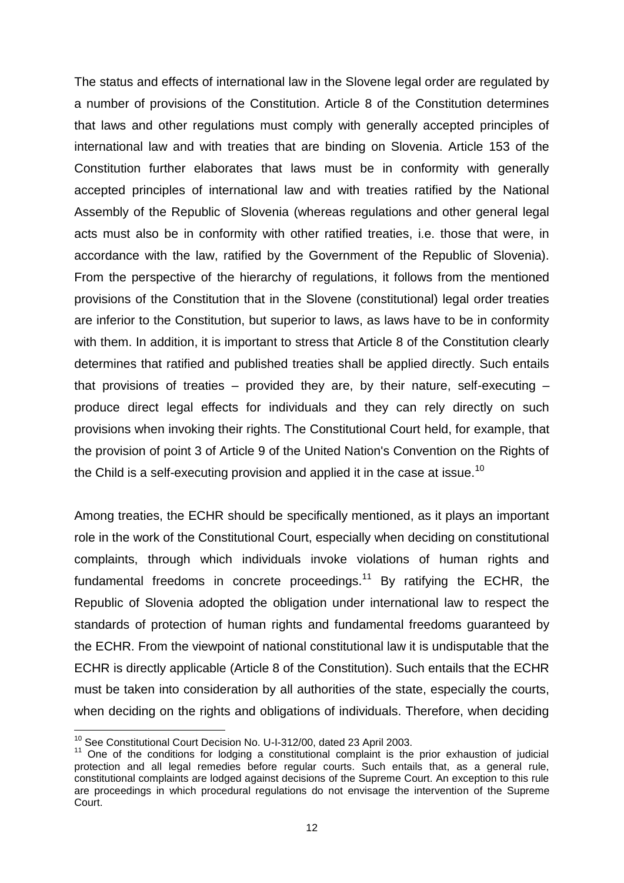The status and effects of international law in the Slovene legal order are regulated by a number of provisions of the Constitution. Article 8 of the Constitution determines that laws and other regulations must comply with generally accepted principles of international law and with treaties that are binding on Slovenia. Article 153 of the Constitution further elaborates that laws must be in conformity with generally accepted principles of international law and with treaties ratified by the National Assembly of the Republic of Slovenia (whereas regulations and other general legal acts must also be in conformity with other ratified treaties, i.e. those that were, in accordance with the law, ratified by the Government of the Republic of Slovenia). From the perspective of the hierarchy of regulations, it follows from the mentioned provisions of the Constitution that in the Slovene (constitutional) legal order treaties are inferior to the Constitution, but superior to laws, as laws have to be in conformity with them. In addition, it is important to stress that Article 8 of the Constitution clearly determines that ratified and published treaties shall be applied directly. Such entails that provisions of treaties – provided they are, by their nature, self-executing – produce direct legal effects for individuals and they can rely directly on such provisions when invoking their rights. The Constitutional Court held, for example, that the provision of point 3 of Article 9 of the United Nation's Convention on the Rights of the Child is a self-executing provision and applied it in the case at issue.<sup>10</sup>

Among treaties, the ECHR should be specifically mentioned, as it plays an important role in the work of the Constitutional Court, especially when deciding on constitutional complaints, through which individuals invoke violations of human rights and fundamental freedoms in concrete proceedings.<sup>11</sup> By ratifying the ECHR, the Republic of Slovenia adopted the obligation under international law to respect the standards of protection of human rights and fundamental freedoms guaranteed by the ECHR. From the viewpoint of national constitutional law it is undisputable that the ECHR is directly applicable (Article 8 of the Constitution). Such entails that the ECHR must be taken into consideration by all authorities of the state, especially the courts, when deciding on the rights and obligations of individuals. Therefore, when deciding

 $\overline{a}$ <sup>10</sup> See Constitutional Court Decision No. U-I-312/00, dated 23 April 2003.

<sup>11</sup> One of the conditions for lodging a constitutional complaint is the prior exhaustion of judicial protection and all legal remedies before regular courts. Such entails that, as a general rule, constitutional complaints are lodged against decisions of the Supreme Court. An exception to this rule are proceedings in which procedural regulations do not envisage the intervention of the Supreme Court.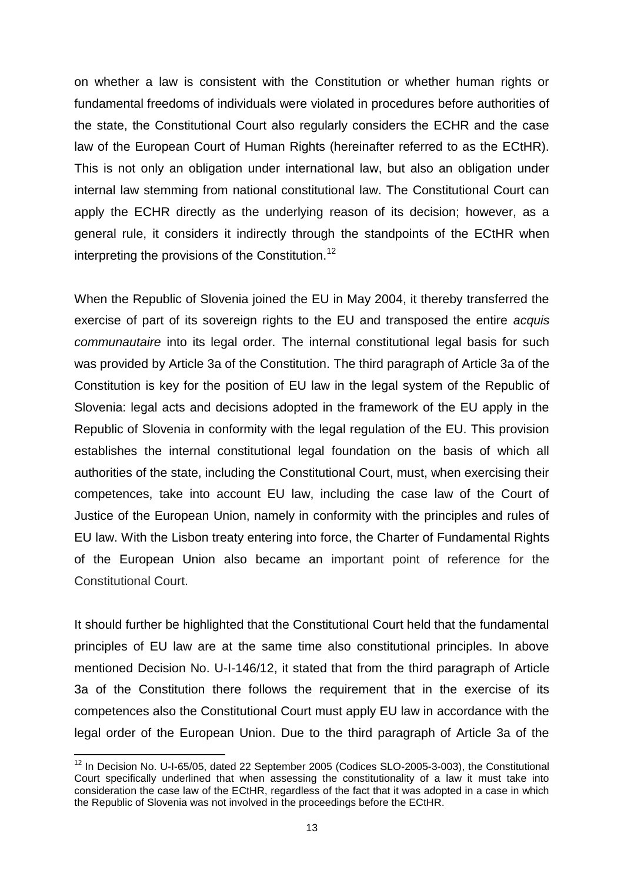on whether a law is consistent with the Constitution or whether human rights or fundamental freedoms of individuals were violated in procedures before authorities of the state, the Constitutional Court also regularly considers the ECHR and the case law of the European Court of Human Rights (hereinafter referred to as the ECtHR). This is not only an obligation under international law, but also an obligation under internal law stemming from national constitutional law. The Constitutional Court can apply the ECHR directly as the underlying reason of its decision; however, as a general rule, it considers it indirectly through the standpoints of the ECtHR when interpreting the provisions of the Constitution.<sup>12</sup>

When the Republic of Slovenia joined the EU in May 2004, it thereby transferred the exercise of part of its sovereign rights to the EU and transposed the entire *acquis communautaire* into its legal order*.* The internal constitutional legal basis for such was provided by Article 3a of the Constitution. The third paragraph of Article 3a of the Constitution is key for the position of EU law in the legal system of the Republic of Slovenia: legal acts and decisions adopted in the framework of the EU apply in the Republic of Slovenia in conformity with the legal regulation of the EU. This provision establishes the internal constitutional legal foundation on the basis of which all authorities of the state, including the Constitutional Court, must, when exercising their competences, take into account EU law, including the case law of the Court of Justice of the European Union, namely in conformity with the principles and rules of EU law. With the Lisbon treaty entering into force, the Charter of Fundamental Rights of the European Union also became an important point of reference for the Constitutional Court.

It should further be highlighted that the Constitutional Court held that the fundamental principles of EU law are at the same time also constitutional principles. In above mentioned Decision No. U-I-146/12, it stated that from the third paragraph of Article 3a of the Constitution there follows the requirement that in the exercise of its competences also the Constitutional Court must apply EU law in accordance with the legal order of the European Union. Due to the third paragraph of Article 3a of the

 $\overline{a}$  $12$  In Decision No. U-I-65/05, dated 22 September 2005 (Codices SLO-2005-3-003), the Constitutional Court specifically underlined that when assessing the constitutionality of a law it must take into consideration the case law of the ECtHR, regardless of the fact that it was adopted in a case in which the Republic of Slovenia was not involved in the proceedings before the ECtHR.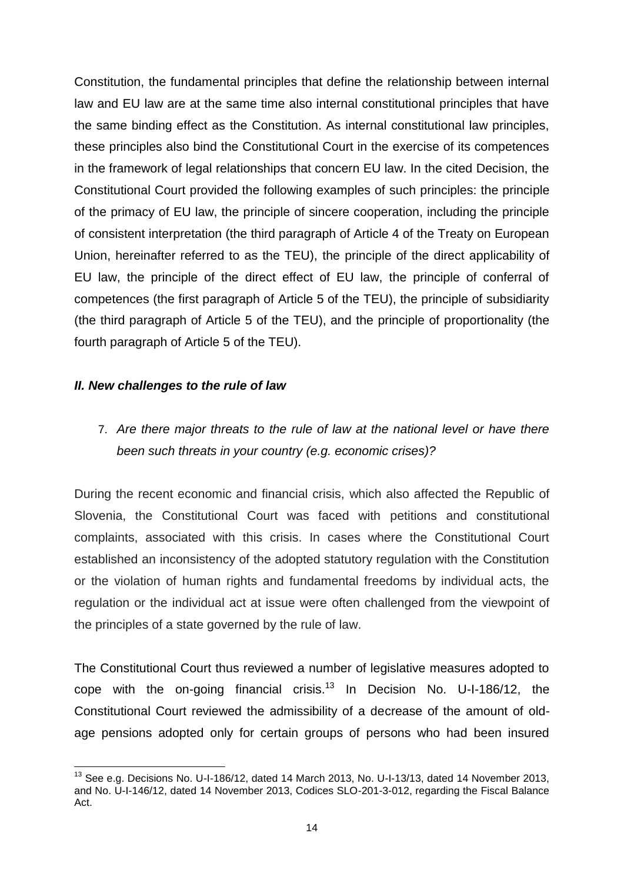Constitution, the fundamental principles that define the relationship between internal law and EU law are at the same time also internal constitutional principles that have the same binding effect as the Constitution. As internal constitutional law principles, these principles also bind the Constitutional Court in the exercise of its competences in the framework of legal relationships that concern EU law. In the cited Decision, the Constitutional Court provided the following examples of such principles: the principle of the primacy of EU law, the principle of sincere cooperation, including the principle of consistent interpretation (the third paragraph of Article 4 of the Treaty on European Union, hereinafter referred to as the TEU), the principle of the direct applicability of EU law, the principle of the direct effect of EU law, the principle of conferral of competences (the first paragraph of Article 5 of the TEU), the principle of subsidiarity (the third paragraph of Article 5 of the TEU), and the principle of proportionality (the fourth paragraph of Article 5 of the TEU).

### *II. New challenges to the rule of law*

# 7. *Are there major threats to the rule of law at the national level or have there been such threats in your country (e.g. economic crises)?*

During the recent economic and financial crisis, which also affected the Republic of Slovenia, the Constitutional Court was faced with petitions and constitutional complaints, associated with this crisis. In cases where the Constitutional Court established an inconsistency of the adopted statutory regulation with the Constitution or the violation of human rights and fundamental freedoms by individual acts, the regulation or the individual act at issue were often challenged from the viewpoint of the principles of a state governed by the rule of law.

The Constitutional Court thus reviewed a number of legislative measures adopted to cope with the on-going financial crisis.<sup>13</sup> In Decision No. U-I-186/12, the Constitutional Court reviewed the admissibility of a decrease of the amount of oldage pensions adopted only for certain groups of persons who had been insured

 $\overline{a}$ <sup>13</sup> See e.g. Decisions No. U-I-186/12, dated 14 March 2013, No. U-I-13/13, dated 14 November 2013, and No. U-I-146/12, dated 14 November 2013, Codices SLO-201-3-012, regarding the Fiscal Balance Act.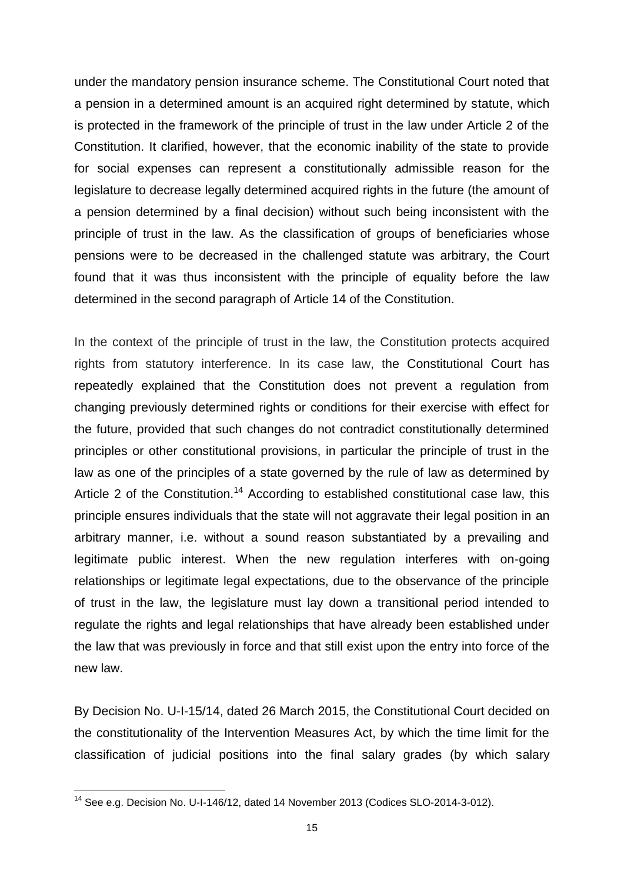under the mandatory pension insurance scheme. The Constitutional Court noted that a pension in a determined amount is an acquired right determined by statute, which is protected in the framework of the principle of trust in the law under Article 2 of the Constitution. It clarified, however, that the economic inability of the state to provide for social expenses can represent a constitutionally admissible reason for the legislature to decrease legally determined acquired rights in the future (the amount of a pension determined by a final decision) without such being inconsistent with the principle of trust in the law. As the classification of groups of beneficiaries whose pensions were to be decreased in the challenged statute was arbitrary, the Court found that it was thus inconsistent with the principle of equality before the law determined in the second paragraph of Article 14 of the Constitution.

In the context of the principle of trust in the law, the Constitution protects acquired rights from statutory interference. In its case law, the Constitutional Court has repeatedly explained that the Constitution does not prevent a regulation from changing previously determined rights or conditions for their exercise with effect for the future, provided that such changes do not contradict constitutionally determined principles or other constitutional provisions, in particular the principle of trust in the law as one of the principles of a state governed by the rule of law as determined by Article 2 of the Constitution.<sup>14</sup> According to established constitutional case law, this principle ensures individuals that the state will not aggravate their legal position in an arbitrary manner, i.e. without a sound reason substantiated by a prevailing and legitimate public interest. When the new regulation interferes with on-going relationships or legitimate legal expectations, due to the observance of the principle of trust in the law, the legislature must lay down a transitional period intended to regulate the rights and legal relationships that have already been established under the law that was previously in force and that still exist upon the entry into force of the new law.

By Decision No. U-I-15/14, dated 26 March 2015, the Constitutional Court decided on the constitutionality of the Intervention Measures Act, by which the time limit for the classification of judicial positions into the final salary grades (by which salary

<sup>&</sup>lt;sup>14</sup> See e.g. Decision No. U-I-146/12, dated 14 November 2013 (Codices SLO-2014-3-012).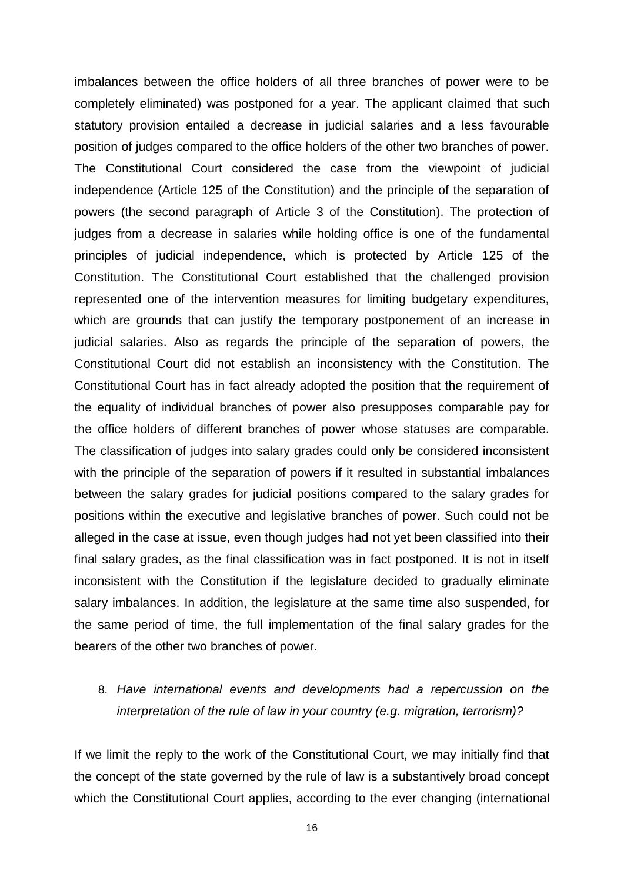imbalances between the office holders of all three branches of power were to be completely eliminated) was postponed for a year. The applicant claimed that such statutory provision entailed a decrease in judicial salaries and a less favourable position of judges compared to the office holders of the other two branches of power. The Constitutional Court considered the case from the viewpoint of judicial independence (Article 125 of the Constitution) and the principle of the separation of powers (the second paragraph of Article 3 of the Constitution). The protection of judges from a decrease in salaries while holding office is one of the fundamental principles of judicial independence, which is protected by Article 125 of the Constitution. The Constitutional Court established that the challenged provision represented one of the intervention measures for limiting budgetary expenditures, which are grounds that can justify the temporary postponement of an increase in judicial salaries. Also as regards the principle of the separation of powers, the Constitutional Court did not establish an inconsistency with the Constitution. The Constitutional Court has in fact already adopted the position that the requirement of the equality of individual branches of power also presupposes comparable pay for the office holders of different branches of power whose statuses are comparable. The classification of judges into salary grades could only be considered inconsistent with the principle of the separation of powers if it resulted in substantial imbalances between the salary grades for judicial positions compared to the salary grades for positions within the executive and legislative branches of power. Such could not be alleged in the case at issue, even though judges had not yet been classified into their final salary grades, as the final classification was in fact postponed. It is not in itself inconsistent with the Constitution if the legislature decided to gradually eliminate salary imbalances. In addition, the legislature at the same time also suspended, for the same period of time, the full implementation of the final salary grades for the bearers of the other two branches of power.

# 8. *Have international events and developments had a repercussion on the interpretation of the rule of law in your country (e.g. migration, terrorism)?*

If we limit the reply to the work of the Constitutional Court, we may initially find that the concept of the state governed by the rule of law is a substantively broad concept which the Constitutional Court applies, according to the ever changing (international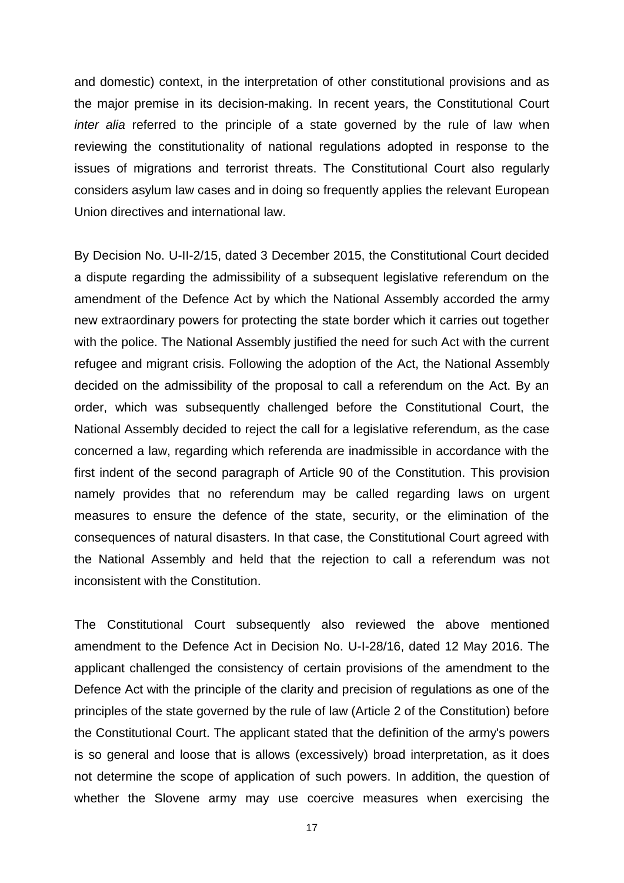and domestic) context, in the interpretation of other constitutional provisions and as the major premise in its decision-making. In recent years, the Constitutional Court *inter alia* referred to the principle of a state governed by the rule of law when reviewing the constitutionality of national regulations adopted in response to the issues of migrations and terrorist threats. The Constitutional Court also regularly considers asylum law cases and in doing so frequently applies the relevant European Union directives and international law.

By Decision No. U-II-2/15, dated 3 December 2015, the Constitutional Court decided a dispute regarding the admissibility of a subsequent legislative referendum on the amendment of the Defence Act by which the National Assembly accorded the army new extraordinary powers for protecting the state border which it carries out together with the police. The National Assembly justified the need for such Act with the current refugee and migrant crisis. Following the adoption of the Act, the National Assembly decided on the admissibility of the proposal to call a referendum on the Act. By an order, which was subsequently challenged before the Constitutional Court, the National Assembly decided to reject the call for a legislative referendum, as the case concerned a law, regarding which referenda are inadmissible in accordance with the first indent of the second paragraph of Article 90 of the Constitution. This provision namely provides that no referendum may be called regarding laws on urgent measures to ensure the defence of the state, security, or the elimination of the consequences of natural disasters. In that case, the Constitutional Court agreed with the National Assembly and held that the rejection to call a referendum was not inconsistent with the Constitution.

The Constitutional Court subsequently also reviewed the above mentioned amendment to the Defence Act in Decision No. U-I-28/16, dated 12 May 2016. The applicant challenged the consistency of certain provisions of the amendment to the Defence Act with the principle of the clarity and precision of regulations as one of the principles of the state governed by the rule of law (Article 2 of the Constitution) before the Constitutional Court. The applicant stated that the definition of the army's powers is so general and loose that is allows (excessively) broad interpretation, as it does not determine the scope of application of such powers. In addition, the question of whether the Slovene army may use coercive measures when exercising the

17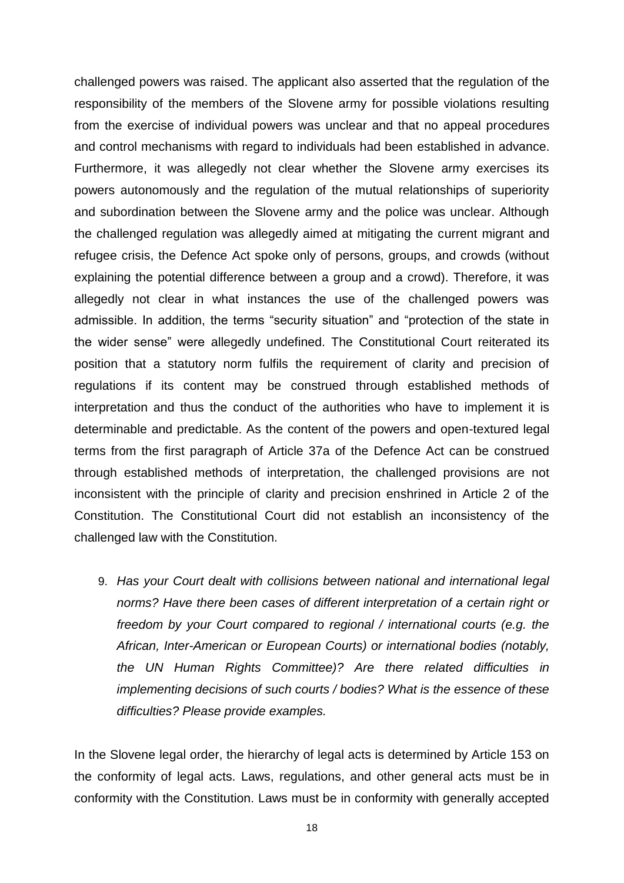challenged powers was raised. The applicant also asserted that the regulation of the responsibility of the members of the Slovene army for possible violations resulting from the exercise of individual powers was unclear and that no appeal procedures and control mechanisms with regard to individuals had been established in advance. Furthermore, it was allegedly not clear whether the Slovene army exercises its powers autonomously and the regulation of the mutual relationships of superiority and subordination between the Slovene army and the police was unclear. Although the challenged regulation was allegedly aimed at mitigating the current migrant and refugee crisis, the Defence Act spoke only of persons, groups, and crowds (without explaining the potential difference between a group and a crowd). Therefore, it was allegedly not clear in what instances the use of the challenged powers was admissible. In addition, the terms "security situation" and "protection of the state in the wider sense" were allegedly undefined. The Constitutional Court reiterated its position that a statutory norm fulfils the requirement of clarity and precision of regulations if its content may be construed through established methods of interpretation and thus the conduct of the authorities who have to implement it is determinable and predictable. As the content of the powers and open-textured legal terms from the first paragraph of Article 37a of the Defence Act can be construed through established methods of interpretation, the challenged provisions are not inconsistent with the principle of clarity and precision enshrined in Article 2 of the Constitution. The Constitutional Court did not establish an inconsistency of the challenged law with the Constitution.

9. *Has your Court dealt with collisions between national and international legal norms? Have there been cases of different interpretation of a certain right or freedom by your Court compared to regional / international courts (e.g. the African, Inter-American or European Courts) or international bodies (notably, the UN Human Rights Committee)? Are there related difficulties in implementing decisions of such courts / bodies? What is the essence of these difficulties? Please provide examples.* 

In the Slovene legal order, the hierarchy of legal acts is determined by Article 153 on the conformity of legal acts. Laws, regulations, and other general acts must be in conformity with the Constitution. Laws must be in conformity with generally accepted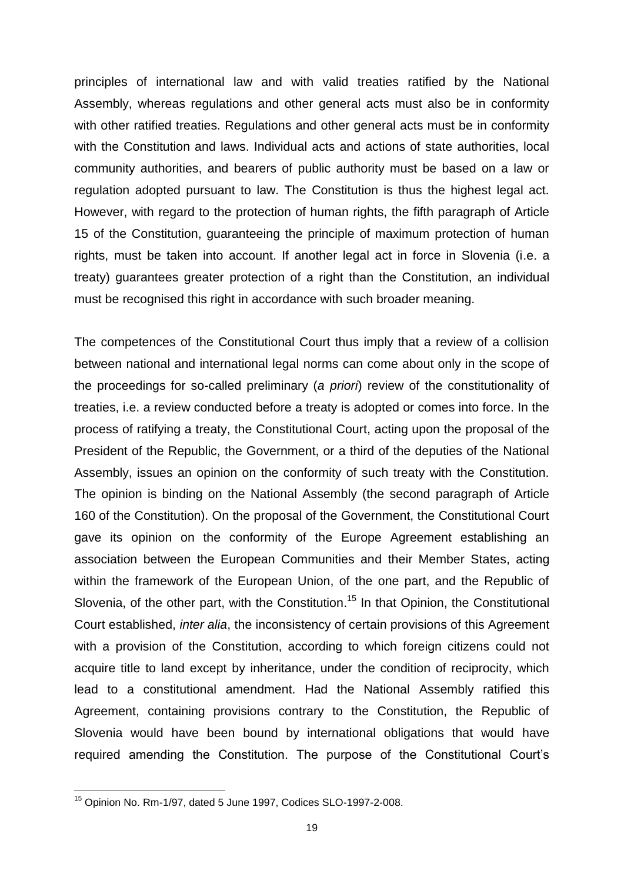principles of international law and with valid treaties ratified by the National Assembly, whereas regulations and other general acts must also be in conformity with other ratified treaties. Regulations and other general acts must be in conformity with the Constitution and laws. Individual acts and actions of state authorities, local community authorities, and bearers of public authority must be based on a law or regulation adopted pursuant to law. The Constitution is thus the highest legal act. However, with regard to the protection of human rights, the fifth paragraph of Article 15 of the Constitution, guaranteeing the principle of maximum protection of human rights, must be taken into account. If another legal act in force in Slovenia (i.e. a treaty) guarantees greater protection of a right than the Constitution, an individual must be recognised this right in accordance with such broader meaning.

The competences of the Constitutional Court thus imply that a review of a collision between national and international legal norms can come about only in the scope of the proceedings for so-called preliminary (*a priori*) review of the constitutionality of treaties, i.e. a review conducted before a treaty is adopted or comes into force. In the process of ratifying a treaty, the Constitutional Court, acting upon the proposal of the President of the Republic, the Government, or a third of the deputies of the National Assembly, issues an opinion on the conformity of such treaty with the Constitution. The opinion is binding on the National Assembly (the second paragraph of Article 160 of the Constitution). On the proposal of the Government, the Constitutional Court gave its opinion on the conformity of the Europe Agreement establishing an association between the European Communities and their Member States, acting within the framework of the European Union, of the one part, and the Republic of Slovenia, of the other part, with the Constitution.<sup>15</sup> In that Opinion, the Constitutional Court established, *inter alia*, the inconsistency of certain provisions of this Agreement with a provision of the Constitution, according to which foreign citizens could not acquire title to land except by inheritance, under the condition of reciprocity, which lead to a constitutional amendment. Had the National Assembly ratified this Agreement, containing provisions contrary to the Constitution, the Republic of Slovenia would have been bound by international obligations that would have required amending the Constitution. The purpose of the Constitutional Court's

<sup>15</sup> Opinion No. Rm-1/97, dated 5 June 1997, Codices SLO-1997-2-008.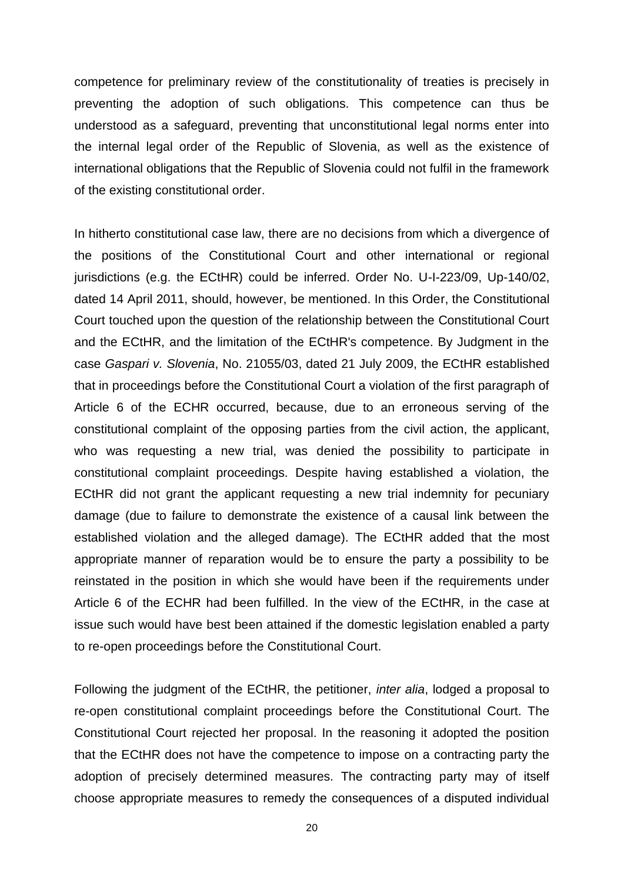competence for preliminary review of the constitutionality of treaties is precisely in preventing the adoption of such obligations. This competence can thus be understood as a safeguard, preventing that unconstitutional legal norms enter into the internal legal order of the Republic of Slovenia, as well as the existence of international obligations that the Republic of Slovenia could not fulfil in the framework of the existing constitutional order.

In hitherto constitutional case law, there are no decisions from which a divergence of the positions of the Constitutional Court and other international or regional jurisdictions (e.g. the ECtHR) could be inferred. Order No. U-I-223/09, Up-140/02, dated 14 April 2011, should, however, be mentioned. In this Order, the Constitutional Court touched upon the question of the relationship between the Constitutional Court and the ECtHR, and the limitation of the ECtHR's competence. By Judgment in the case *Gaspari v. Slovenia*, No. 21055/03, dated 21 July 2009, the ECtHR established that in proceedings before the Constitutional Court a violation of the first paragraph of Article 6 of the ECHR occurred, because, due to an erroneous serving of the constitutional complaint of the opposing parties from the civil action, the applicant, who was requesting a new trial, was denied the possibility to participate in constitutional complaint proceedings. Despite having established a violation, the ECtHR did not grant the applicant requesting a new trial indemnity for pecuniary damage (due to failure to demonstrate the existence of a causal link between the established violation and the alleged damage). The ECtHR added that the most appropriate manner of reparation would be to ensure the party a possibility to be reinstated in the position in which she would have been if the requirements under Article 6 of the ECHR had been fulfilled. In the view of the ECtHR, in the case at issue such would have best been attained if the domestic legislation enabled a party to re-open proceedings before the Constitutional Court.

Following the judgment of the ECtHR, the petitioner, *inter alia*, lodged a proposal to re-open constitutional complaint proceedings before the Constitutional Court. The Constitutional Court rejected her proposal. In the reasoning it adopted the position that the ECtHR does not have the competence to impose on a contracting party the adoption of precisely determined measures. The contracting party may of itself choose appropriate measures to remedy the consequences of a disputed individual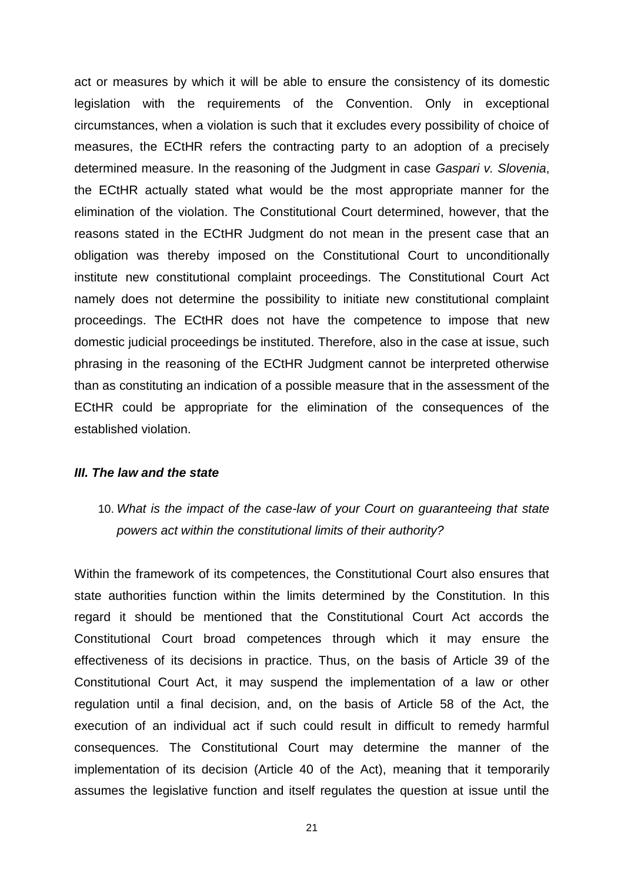act or measures by which it will be able to ensure the consistency of its domestic legislation with the requirements of the Convention. Only in exceptional circumstances, when a violation is such that it excludes every possibility of choice of measures, the ECtHR refers the contracting party to an adoption of a precisely determined measure. In the reasoning of the Judgment in case *Gaspari v. Slovenia*, the ECtHR actually stated what would be the most appropriate manner for the elimination of the violation. The Constitutional Court determined, however, that the reasons stated in the ECtHR Judgment do not mean in the present case that an obligation was thereby imposed on the Constitutional Court to unconditionally institute new constitutional complaint proceedings. The Constitutional Court Act namely does not determine the possibility to initiate new constitutional complaint proceedings. The ECtHR does not have the competence to impose that new domestic judicial proceedings be instituted. Therefore, also in the case at issue, such phrasing in the reasoning of the ECtHR Judgment cannot be interpreted otherwise than as constituting an indication of a possible measure that in the assessment of the ECtHR could be appropriate for the elimination of the consequences of the established violation.

#### *III. The law and the state*

10. *What is the impact of the case-law of your Court on guaranteeing that state powers act within the constitutional limits of their authority?* 

Within the framework of its competences, the Constitutional Court also ensures that state authorities function within the limits determined by the Constitution. In this regard it should be mentioned that the Constitutional Court Act accords the Constitutional Court broad competences through which it may ensure the effectiveness of its decisions in practice. Thus, on the basis of Article 39 of the Constitutional Court Act, it may suspend the implementation of a law or other regulation until a final decision, and, on the basis of Article 58 of the Act, the execution of an individual act if such could result in difficult to remedy harmful consequences. The Constitutional Court may determine the manner of the implementation of its decision (Article 40 of the Act), meaning that it temporarily assumes the legislative function and itself regulates the question at issue until the

21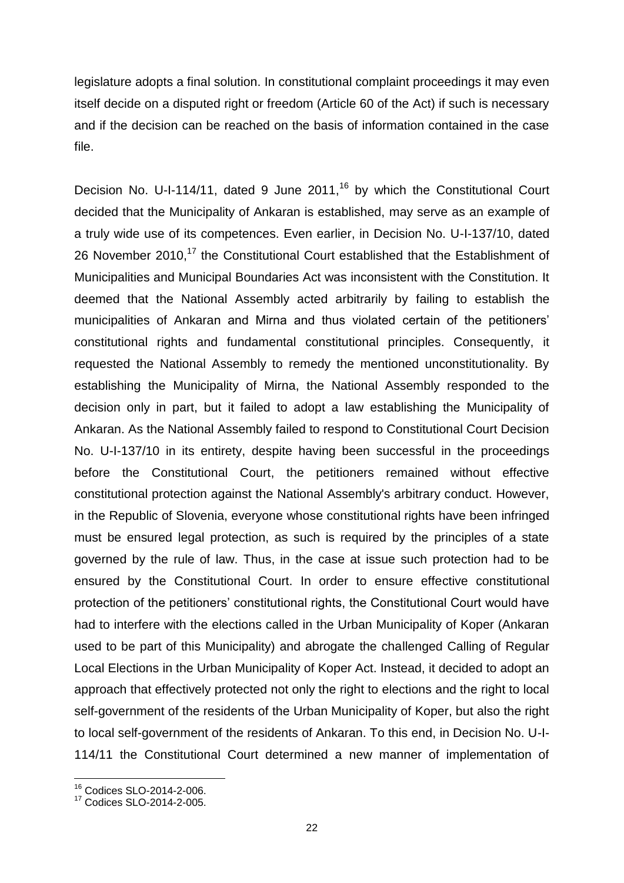legislature adopts a final solution. In constitutional complaint proceedings it may even itself decide on a disputed right or freedom (Article 60 of the Act) if such is necessary and if the decision can be reached on the basis of information contained in the case file.

Decision No. U-I-114/11, dated 9 June  $2011<sup>16</sup>$  by which the Constitutional Court decided that the Municipality of Ankaran is established, may serve as an example of a truly wide use of its competences. Even earlier, in Decision No. U-I-137/10, dated 26 November 2010.<sup>17</sup> the Constitutional Court established that the Establishment of Municipalities and Municipal Boundaries Act was inconsistent with the Constitution. It deemed that the National Assembly acted arbitrarily by failing to establish the municipalities of Ankaran and Mirna and thus violated certain of the petitioners' constitutional rights and fundamental constitutional principles. Consequently, it requested the National Assembly to remedy the mentioned unconstitutionality. By establishing the Municipality of Mirna, the National Assembly responded to the decision only in part, but it failed to adopt a law establishing the Municipality of Ankaran. As the National Assembly failed to respond to Constitutional Court Decision No. U-I-137/10 in its entirety, despite having been successful in the proceedings before the Constitutional Court, the petitioners remained without effective constitutional protection against the National Assembly's arbitrary conduct. However, in the Republic of Slovenia, everyone whose constitutional rights have been infringed must be ensured legal protection, as such is required by the principles of a state governed by the rule of law. Thus, in the case at issue such protection had to be ensured by the Constitutional Court. In order to ensure effective constitutional protection of the petitioners' constitutional rights, the Constitutional Court would have had to interfere with the elections called in the Urban Municipality of Koper (Ankaran used to be part of this Municipality) and abrogate the challenged Calling of Regular Local Elections in the Urban Municipality of Koper Act. Instead, it decided to adopt an approach that effectively protected not only the right to elections and the right to local self-government of the residents of the Urban Municipality of Koper, but also the right to local self-government of the residents of Ankaran. To this end, in Decision No. U-I-114/11 the Constitutional Court determined a new manner of implementation of

<sup>16</sup> Codices SLO-2014-2-006.

<sup>17</sup> Codices SLO-2014-2-005.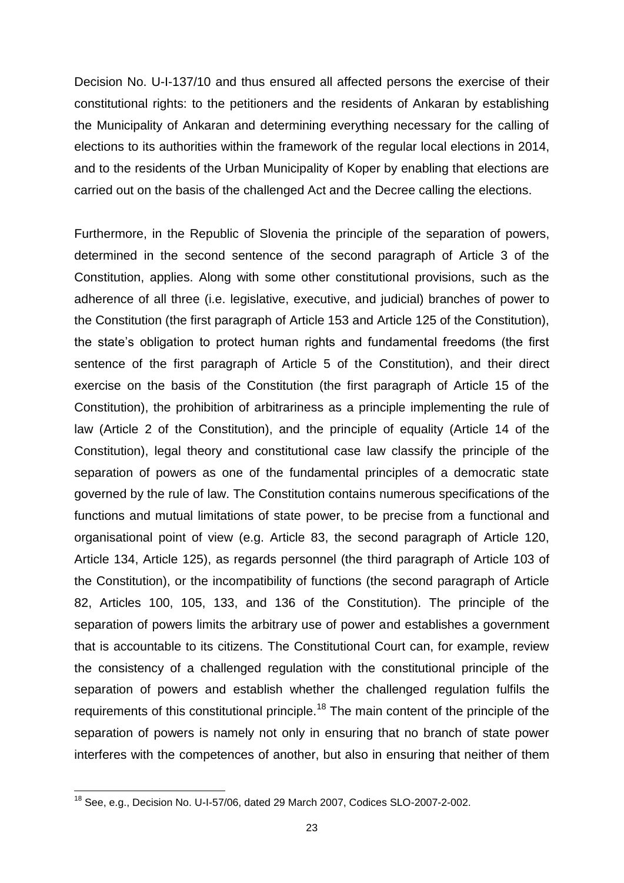Decision No. U-I-137/10 and thus ensured all affected persons the exercise of their constitutional rights: to the petitioners and the residents of Ankaran by establishing the Municipality of Ankaran and determining everything necessary for the calling of elections to its authorities within the framework of the regular local elections in 2014, and to the residents of the Urban Municipality of Koper by enabling that elections are carried out on the basis of the challenged Act and the Decree calling the elections.

Furthermore, in the Republic of Slovenia the principle of the separation of powers, determined in the second sentence of the second paragraph of Article 3 of the Constitution, applies. Along with some other constitutional provisions, such as the adherence of all three (i.e. legislative, executive, and judicial) branches of power to the Constitution (the first paragraph of Article 153 and Article 125 of the Constitution), the state's obligation to protect human rights and fundamental freedoms (the first sentence of the first paragraph of Article 5 of the Constitution), and their direct exercise on the basis of the Constitution (the first paragraph of Article 15 of the Constitution), the prohibition of arbitrariness as a principle implementing the rule of law (Article 2 of the Constitution), and the principle of equality (Article 14 of the Constitution), legal theory and constitutional case law classify the principle of the separation of powers as one of the fundamental principles of a democratic state governed by the rule of law. The Constitution contains numerous specifications of the functions and mutual limitations of state power, to be precise from a functional and organisational point of view (e.g. Article 83, the second paragraph of Article 120, Article 134, Article 125), as regards personnel (the third paragraph of Article 103 of the Constitution), or the incompatibility of functions (the second paragraph of Article 82, Articles 100, 105, 133, and 136 of the Constitution). The principle of the separation of powers limits the arbitrary use of power and establishes a government that is accountable to its citizens. The Constitutional Court can, for example, review the consistency of a challenged regulation with the constitutional principle of the separation of powers and establish whether the challenged regulation fulfils the requirements of this constitutional principle.<sup>18</sup> The main content of the principle of the separation of powers is namely not only in ensuring that no branch of state power interferes with the competences of another, but also in ensuring that neither of them

 $18$  See, e.g., Decision No. U-I-57/06, dated 29 March 2007, Codices SLO-2007-2-002.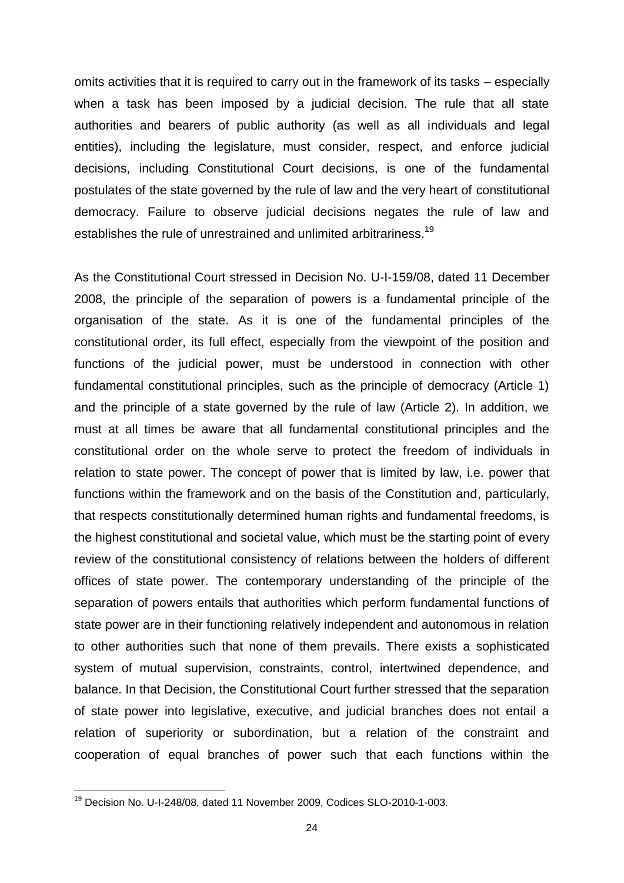omits activities that it is required to carry out in the framework of its tasks – especially when a task has been imposed by a judicial decision. The rule that all state authorities and bearers of public authority (as well as all individuals and legal entities), including the legislature, must consider, respect, and enforce judicial decisions, including Constitutional Court decisions, is one of the fundamental postulates of the state governed by the rule of law and the very heart of constitutional democracy. Failure to observe judicial decisions negates the rule of law and establishes the rule of unrestrained and unlimited arbitrariness.<sup>19</sup>

As the Constitutional Court stressed in Decision No. U-I-159/08, dated 11 December 2008, the principle of the separation of powers is a fundamental principle of the organisation of the state. As it is one of the fundamental principles of the constitutional order, its full effect, especially from the viewpoint of the position and functions of the judicial power, must be understood in connection with other fundamental constitutional principles, such as the principle of democracy (Article 1) and the principle of a state governed by the rule of law (Article 2). In addition, we must at all times be aware that all fundamental constitutional principles and the constitutional order on the whole serve to protect the freedom of individuals in relation to state power. The concept of power that is limited by law, i.e. power that functions within the framework and on the basis of the Constitution and, particularly, that respects constitutionally determined human rights and fundamental freedoms, is the highest constitutional and societal value, which must be the starting point of every review of the constitutional consistency of relations between the holders of different offices of state power. The contemporary understanding of the principle of the separation of powers entails that authorities which perform fundamental functions of state power are in their functioning relatively independent and autonomous in relation to other authorities such that none of them prevails. There exists a sophisticated system of mutual supervision, constraints, control, intertwined dependence, and balance. In that Decision, the Constitutional Court further stressed that the separation of state power into legislative, executive, and judicial branches does not entail a relation of superiority or subordination, but a relation of the constraint and cooperation of equal branches of power such that each functions within the

<sup>&</sup>lt;sup>19</sup> Decision No. U-I-248/08, dated 11 November 2009, Codices SLO-2010-1-003.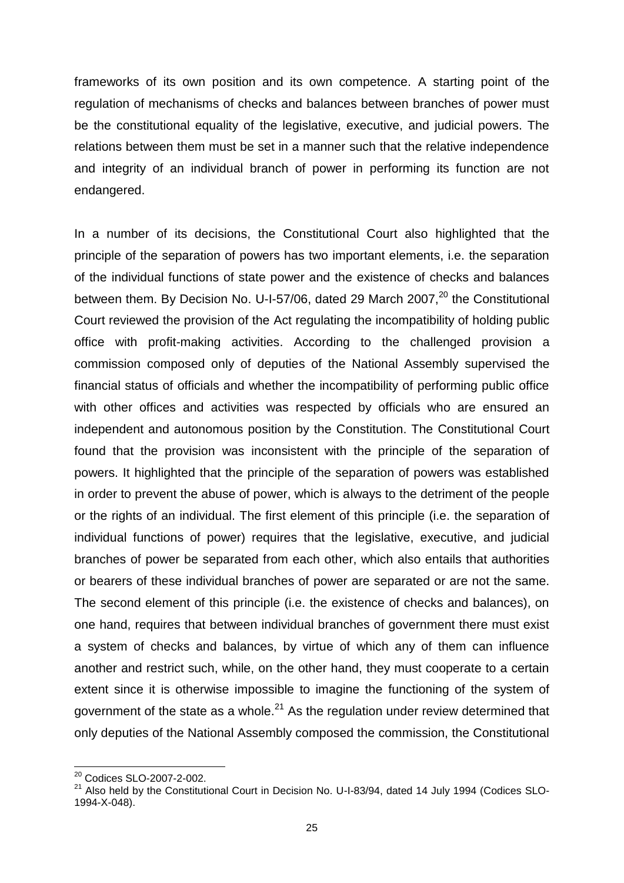frameworks of its own position and its own competence. A starting point of the regulation of mechanisms of checks and balances between branches of power must be the constitutional equality of the legislative, executive, and judicial powers. The relations between them must be set in a manner such that the relative independence and integrity of an individual branch of power in performing its function are not endangered.

In a number of its decisions, the Constitutional Court also highlighted that the principle of the separation of powers has two important elements, i.e. the separation of the individual functions of state power and the existence of checks and balances between them. By Decision No. U-I-57/06, dated 29 March 2007, $^{20}$  the Constitutional Court reviewed the provision of the Act regulating the incompatibility of holding public office with profit-making activities. According to the challenged provision a commission composed only of deputies of the National Assembly supervised the financial status of officials and whether the incompatibility of performing public office with other offices and activities was respected by officials who are ensured an independent and autonomous position by the Constitution. The Constitutional Court found that the provision was inconsistent with the principle of the separation of powers. It highlighted that the principle of the separation of powers was established in order to prevent the abuse of power, which is always to the detriment of the people or the rights of an individual. The first element of this principle (i.e. the separation of individual functions of power) requires that the legislative, executive, and judicial branches of power be separated from each other, which also entails that authorities or bearers of these individual branches of power are separated or are not the same. The second element of this principle (i.e. the existence of checks and balances), on one hand, requires that between individual branches of government there must exist a system of checks and balances, by virtue of which any of them can influence another and restrict such, while, on the other hand, they must cooperate to a certain extent since it is otherwise impossible to imagine the functioning of the system of government of the state as a whole. $^{21}$  As the regulation under review determined that only deputies of the National Assembly composed the commission, the Constitutional

<sup>&</sup>lt;sup>20</sup> Codices SLO-2007-2-002.

<sup>21</sup> Also held by the Constitutional Court in Decision No. U-I-83/94, dated 14 July 1994 (Codices SLO-1994-X-048).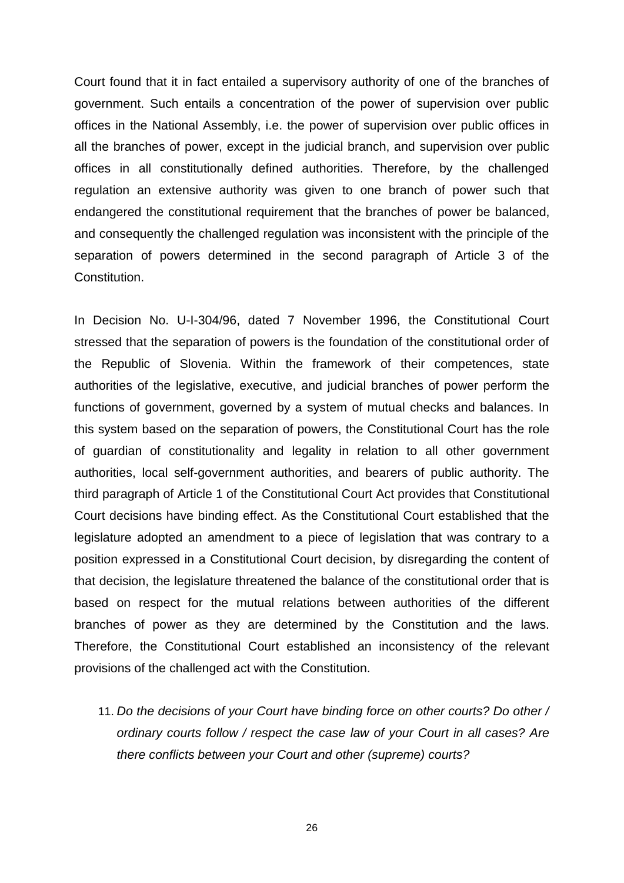Court found that it in fact entailed a supervisory authority of one of the branches of government. Such entails a concentration of the power of supervision over public offices in the National Assembly, i.e. the power of supervision over public offices in all the branches of power, except in the judicial branch, and supervision over public offices in all constitutionally defined authorities. Therefore, by the challenged regulation an extensive authority was given to one branch of power such that endangered the constitutional requirement that the branches of power be balanced, and consequently the challenged regulation was inconsistent with the principle of the separation of powers determined in the second paragraph of Article 3 of the Constitution.

In Decision No. U-I-304/96, dated 7 November 1996, the Constitutional Court stressed that the separation of powers is the foundation of the constitutional order of the Republic of Slovenia. Within the framework of their competences, state authorities of the legislative, executive, and judicial branches of power perform the functions of government, governed by a system of mutual checks and balances. In this system based on the separation of powers, the Constitutional Court has the role of guardian of constitutionality and legality in relation to all other government authorities, local self-government authorities, and bearers of public authority. The third paragraph of Article 1 of the Constitutional Court Act provides that Constitutional Court decisions have binding effect. As the Constitutional Court established that the legislature adopted an amendment to a piece of legislation that was contrary to a position expressed in a Constitutional Court decision, by disregarding the content of that decision, the legislature threatened the balance of the constitutional order that is based on respect for the mutual relations between authorities of the different branches of power as they are determined by the Constitution and the laws. Therefore, the Constitutional Court established an inconsistency of the relevant provisions of the challenged act with the Constitution.

11. *Do the decisions of your Court have binding force on other courts? Do other / ordinary courts follow / respect the case law of your Court in all cases? Are there conflicts between your Court and other (supreme) courts?*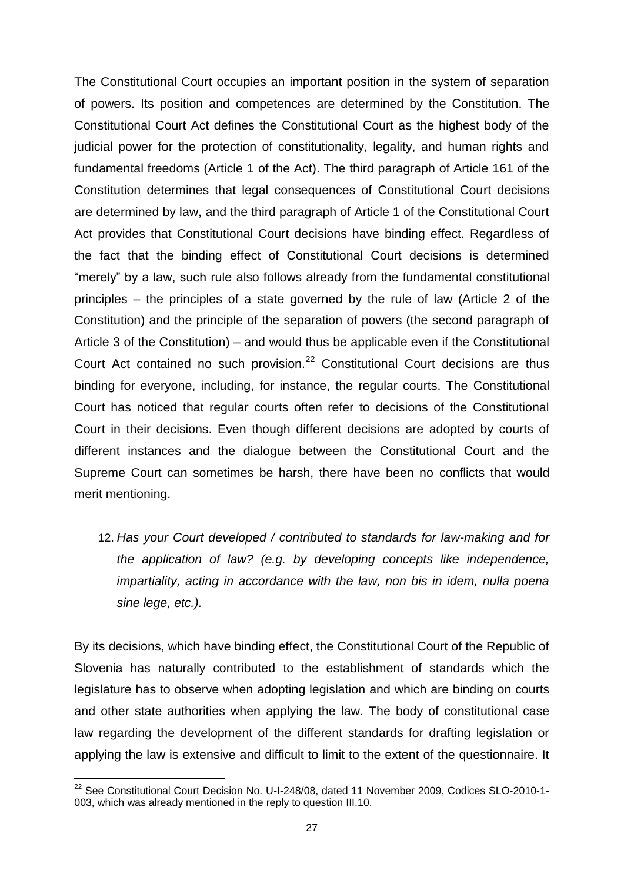The Constitutional Court occupies an important position in the system of separation of powers. Its position and competences are determined by the Constitution. The Constitutional Court Act defines the Constitutional Court as the highest body of the judicial power for the protection of constitutionality, legality, and human rights and fundamental freedoms (Article 1 of the Act). The third paragraph of Article 161 of the Constitution determines that legal consequences of Constitutional Court decisions are determined by law, and the third paragraph of Article 1 of the Constitutional Court Act provides that Constitutional Court decisions have binding effect. Regardless of the fact that the binding effect of Constitutional Court decisions is determined "merely" by a law, such rule also follows already from the fundamental constitutional principles – the principles of a state governed by the rule of law (Article 2 of the Constitution) and the principle of the separation of powers (the second paragraph of Article 3 of the Constitution) – and would thus be applicable even if the Constitutional Court Act contained no such provision.<sup>22</sup> Constitutional Court decisions are thus binding for everyone, including, for instance, the regular courts. The Constitutional Court has noticed that regular courts often refer to decisions of the Constitutional Court in their decisions. Even though different decisions are adopted by courts of different instances and the dialogue between the Constitutional Court and the Supreme Court can sometimes be harsh, there have been no conflicts that would merit mentioning.

12. *Has your Court developed / contributed to standards for law-making and for the application of law? (e.g. by developing concepts like independence, impartiality, acting in accordance with the law, non bis in idem, nulla poena sine lege, etc.).* 

By its decisions, which have binding effect, the Constitutional Court of the Republic of Slovenia has naturally contributed to the establishment of standards which the legislature has to observe when adopting legislation and which are binding on courts and other state authorities when applying the law. The body of constitutional case law regarding the development of the different standards for drafting legislation or applying the law is extensive and difficult to limit to the extent of the questionnaire. It

 $\overline{a}$ <sup>22</sup> See Constitutional Court Decision No. U-I-248/08, dated 11 November 2009, Codices SLO-2010-1-003, which was already mentioned in the reply to question III.10.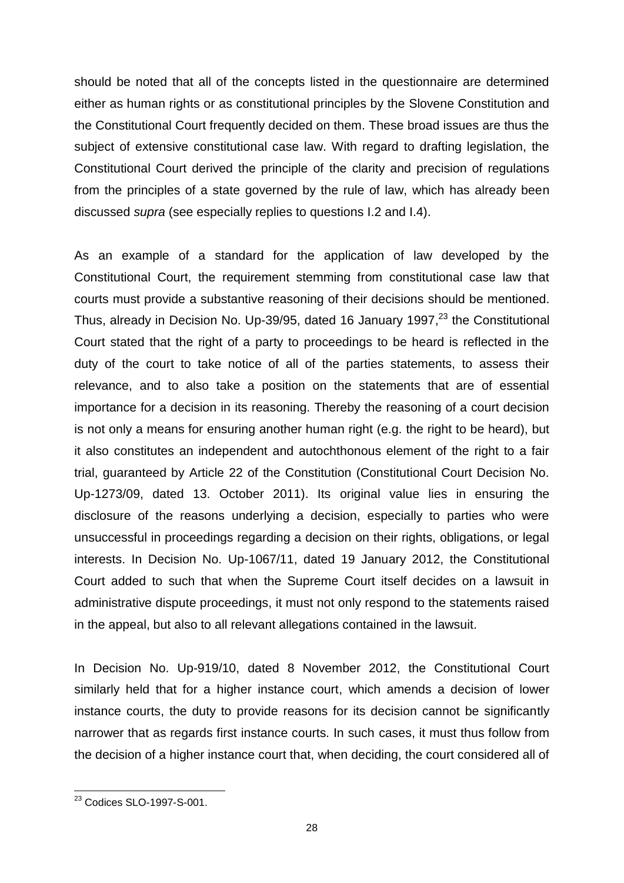should be noted that all of the concepts listed in the questionnaire are determined either as human rights or as constitutional principles by the Slovene Constitution and the Constitutional Court frequently decided on them. These broad issues are thus the subject of extensive constitutional case law. With regard to drafting legislation, the Constitutional Court derived the principle of the clarity and precision of regulations from the principles of a state governed by the rule of law, which has already been discussed *supra* (see especially replies to questions I.2 and I.4).

As an example of a standard for the application of law developed by the Constitutional Court, the requirement stemming from constitutional case law that courts must provide a substantive reasoning of their decisions should be mentioned. Thus, already in Decision No. Up-39/95, dated 16 January 1997,<sup>23</sup> the Constitutional Court stated that the right of a party to proceedings to be heard is reflected in the duty of the court to take notice of all of the parties statements, to assess their relevance, and to also take a position on the statements that are of essential importance for a decision in its reasoning. Thereby the reasoning of a court decision is not only a means for ensuring another human right (e.g. the right to be heard), but it also constitutes an independent and autochthonous element of the right to a fair trial, guaranteed by Article 22 of the Constitution (Constitutional Court Decision No. Up-1273/09, dated 13. October 2011). Its original value lies in ensuring the disclosure of the reasons underlying a decision, especially to parties who were unsuccessful in proceedings regarding a decision on their rights, obligations, or legal interests. In Decision No. Up-1067/11, dated 19 January 2012, the Constitutional Court added to such that when the Supreme Court itself decides on a lawsuit in administrative dispute proceedings, it must not only respond to the statements raised in the appeal, but also to all relevant allegations contained in the lawsuit.

In Decision No. Up-919/10, dated 8 November 2012, the Constitutional Court similarly held that for a higher instance court, which amends a decision of lower instance courts, the duty to provide reasons for its decision cannot be significantly narrower that as regards first instance courts. In such cases, it must thus follow from the decision of a higher instance court that, when deciding, the court considered all of

 $\overline{a}$ <sup>23</sup> Codices SLO-1997-S-001.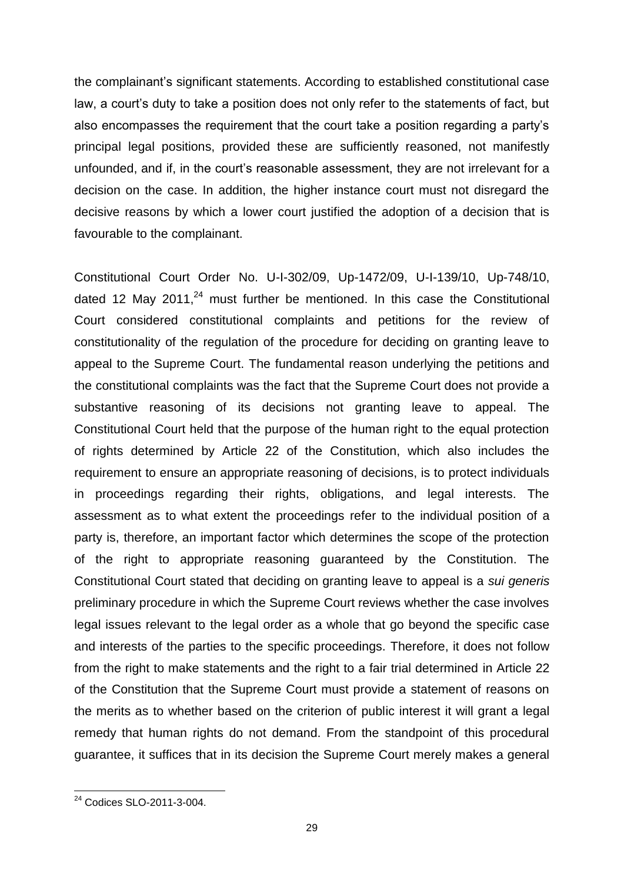the complainant's significant statements. According to established constitutional case law, a court's duty to take a position does not only refer to the statements of fact, but also encompasses the requirement that the court take a position regarding a party's principal legal positions, provided these are sufficiently reasoned, not manifestly unfounded, and if, in the court's reasonable assessment, they are not irrelevant for a decision on the case. In addition, the higher instance court must not disregard the decisive reasons by which a lower court justified the adoption of a decision that is favourable to the complainant.

Constitutional Court Order No. U-I-302/09, Up-1472/09, U-I-139/10, Up-748/10, dated 12 May 2011,<sup>24</sup> must further be mentioned. In this case the Constitutional Court considered constitutional complaints and petitions for the review of constitutionality of the regulation of the procedure for deciding on granting leave to appeal to the Supreme Court. The fundamental reason underlying the petitions and the constitutional complaints was the fact that the Supreme Court does not provide a substantive reasoning of its decisions not granting leave to appeal. The Constitutional Court held that the purpose of the human right to the equal protection of rights determined by Article 22 of the Constitution, which also includes the requirement to ensure an appropriate reasoning of decisions, is to protect individuals in proceedings regarding their rights, obligations, and legal interests. The assessment as to what extent the proceedings refer to the individual position of a party is, therefore, an important factor which determines the scope of the protection of the right to appropriate reasoning guaranteed by the Constitution. The Constitutional Court stated that deciding on granting leave to appeal is a *sui generis* preliminary procedure in which the Supreme Court reviews whether the case involves legal issues relevant to the legal order as a whole that go beyond the specific case and interests of the parties to the specific proceedings. Therefore, it does not follow from the right to make statements and the right to a fair trial determined in Article 22 of the Constitution that the Supreme Court must provide a statement of reasons on the merits as to whether based on the criterion of public interest it will grant a legal remedy that human rights do not demand. From the standpoint of this procedural guarantee, it suffices that in its decision the Supreme Court merely makes a general

 $\overline{a}$ <sup>24</sup> Codices SLO-2011-3-004.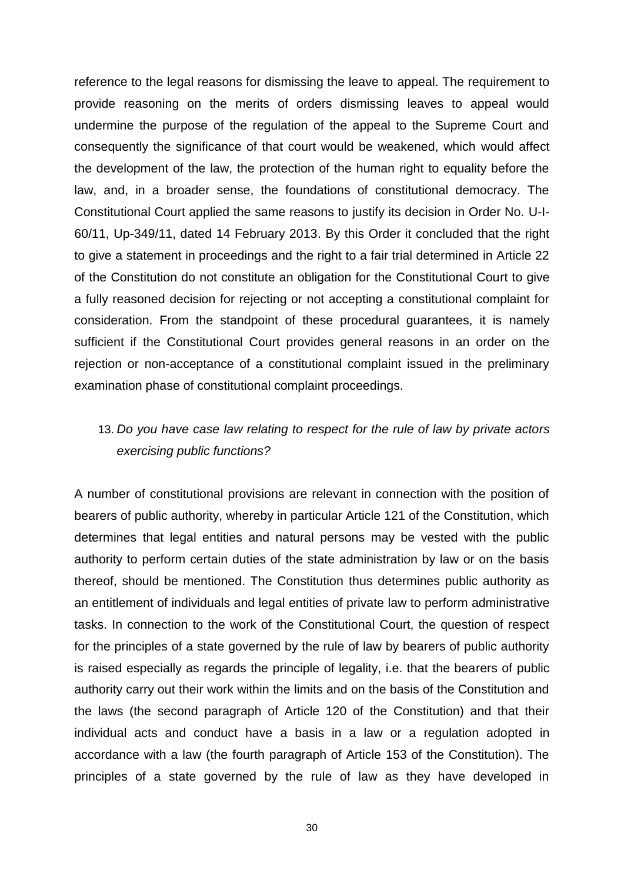reference to the legal reasons for dismissing the leave to appeal. The requirement to provide reasoning on the merits of orders dismissing leaves to appeal would undermine the purpose of the regulation of the appeal to the Supreme Court and consequently the significance of that court would be weakened, which would affect the development of the law, the protection of the human right to equality before the law, and, in a broader sense, the foundations of constitutional democracy. The Constitutional Court applied the same reasons to justify its decision in Order No. U-I-60/11, Up-349/11, dated 14 February 2013. By this Order it concluded that the right to give a statement in proceedings and the right to a fair trial determined in Article 22 of the Constitution do not constitute an obligation for the Constitutional Court to give a fully reasoned decision for rejecting or not accepting a constitutional complaint for consideration. From the standpoint of these procedural guarantees, it is namely sufficient if the Constitutional Court provides general reasons in an order on the rejection or non-acceptance of a constitutional complaint issued in the preliminary examination phase of constitutional complaint proceedings.

# 13. *Do you have case law relating to respect for the rule of law by private actors exercising public functions?*

A number of constitutional provisions are relevant in connection with the position of bearers of public authority, whereby in particular Article 121 of the Constitution, which determines that legal entities and natural persons may be vested with the public authority to perform certain duties of the state administration by law or on the basis thereof, should be mentioned. The Constitution thus determines public authority as an entitlement of individuals and legal entities of private law to perform administrative tasks. In connection to the work of the Constitutional Court, the question of respect for the principles of a state governed by the rule of law by bearers of public authority is raised especially as regards the principle of legality, i.e. that the bearers of public authority carry out their work within the limits and on the basis of the Constitution and the laws (the second paragraph of Article 120 of the Constitution) and that their individual acts and conduct have a basis in a law or a regulation adopted in accordance with a law (the fourth paragraph of Article 153 of the Constitution). The principles of a state governed by the rule of law as they have developed in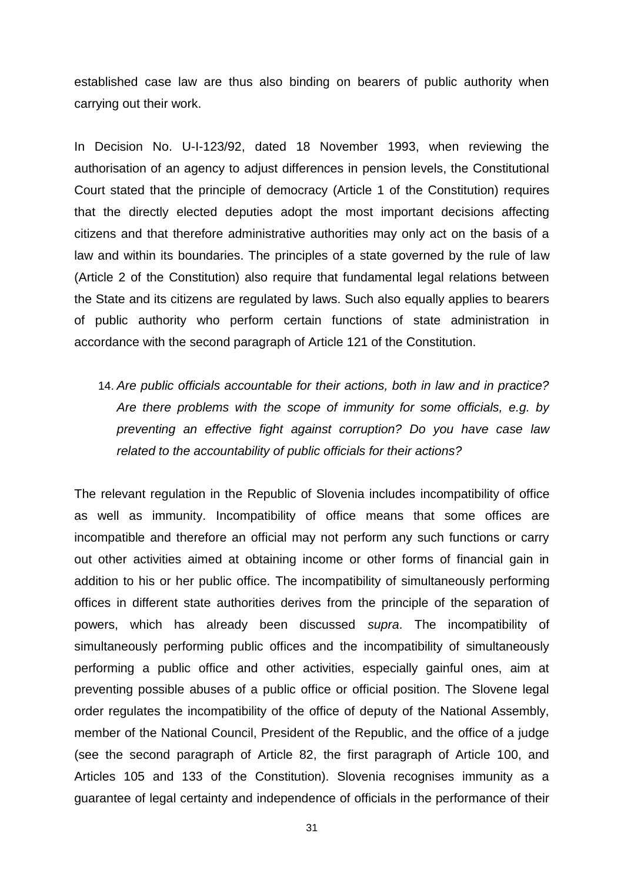established case law are thus also binding on bearers of public authority when carrying out their work.

In Decision No. U-I-123/92, dated 18 November 1993, when reviewing the authorisation of an agency to adjust differences in pension levels, the Constitutional Court stated that the principle of democracy (Article 1 of the Constitution) requires that the directly elected deputies adopt the most important decisions affecting citizens and that therefore administrative authorities may only act on the basis of a law and within its boundaries. The principles of a state governed by the rule of law (Article 2 of the Constitution) also require that fundamental legal relations between the State and its citizens are regulated by laws. Such also equally applies to bearers of public authority who perform certain functions of state administration in accordance with the second paragraph of Article 121 of the Constitution.

14. *Are public officials accountable for their actions, both in law and in practice? Are there problems with the scope of immunity for some officials, e.g. by preventing an effective fight against corruption? Do you have case law related to the accountability of public officials for their actions?*

The relevant regulation in the Republic of Slovenia includes incompatibility of office as well as immunity. Incompatibility of office means that some offices are incompatible and therefore an official may not perform any such functions or carry out other activities aimed at obtaining income or other forms of financial gain in addition to his or her public office. The incompatibility of simultaneously performing offices in different state authorities derives from the principle of the separation of powers, which has already been discussed *supra*. The incompatibility of simultaneously performing public offices and the incompatibility of simultaneously performing a public office and other activities, especially gainful ones, aim at preventing possible abuses of a public office or official position. The Slovene legal order regulates the incompatibility of the office of deputy of the National Assembly, member of the National Council, President of the Republic, and the office of a judge (see the second paragraph of Article 82, the first paragraph of Article 100, and Articles 105 and 133 of the Constitution). Slovenia recognises immunity as a guarantee of legal certainty and independence of officials in the performance of their

31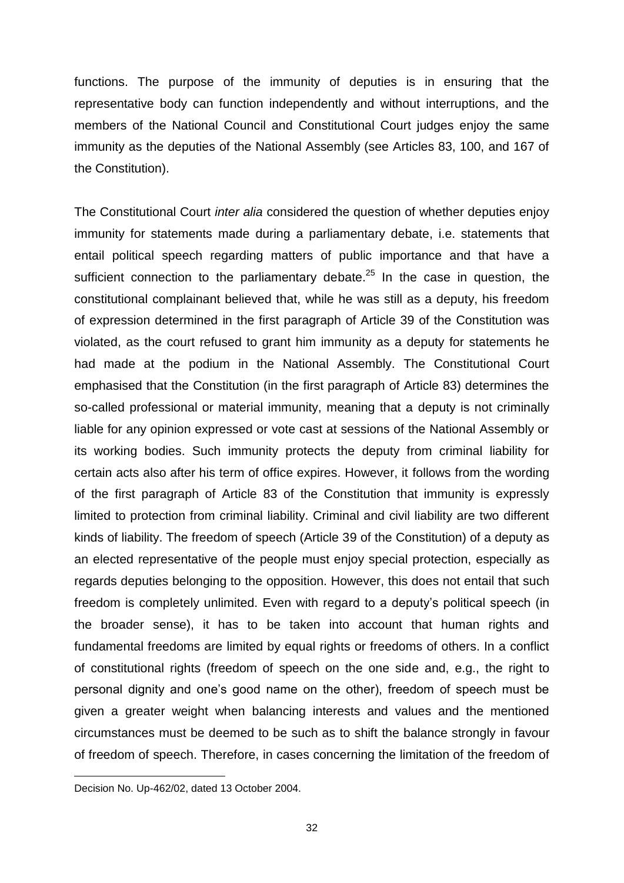functions. The purpose of the immunity of deputies is in ensuring that the representative body can function independently and without interruptions, and the members of the National Council and Constitutional Court judges enjoy the same immunity as the deputies of the National Assembly (see Articles 83, 100, and 167 of the Constitution).

The Constitutional Court *inter alia* considered the question of whether deputies enjoy immunity for statements made during a parliamentary debate, i.e. statements that entail political speech regarding matters of public importance and that have a sufficient connection to the parliamentary debate.<sup>25</sup> In the case in question, the constitutional complainant believed that, while he was still as a deputy, his freedom of expression determined in the first paragraph of Article 39 of the Constitution was violated, as the court refused to grant him immunity as a deputy for statements he had made at the podium in the National Assembly. The Constitutional Court emphasised that the Constitution (in the first paragraph of Article 83) determines the so-called professional or material immunity, meaning that a deputy is not criminally liable for any opinion expressed or vote cast at sessions of the National Assembly or its working bodies. Such immunity protects the deputy from criminal liability for certain acts also after his term of office expires. However, it follows from the wording of the first paragraph of Article 83 of the Constitution that immunity is expressly limited to protection from criminal liability. Criminal and civil liability are two different kinds of liability. The freedom of speech (Article 39 of the Constitution) of a deputy as an elected representative of the people must enjoy special protection, especially as regards deputies belonging to the opposition. However, this does not entail that such freedom is completely unlimited. Even with regard to a deputy's political speech (in the broader sense), it has to be taken into account that human rights and fundamental freedoms are limited by equal rights or freedoms of others. In a conflict of constitutional rights (freedom of speech on the one side and, e.g., the right to personal dignity and one's good name on the other), freedom of speech must be given a greater weight when balancing interests and values and the mentioned circumstances must be deemed to be such as to shift the balance strongly in favour of freedom of speech. Therefore, in cases concerning the limitation of the freedom of

Decision No. Up-462/02, dated 13 October 2004.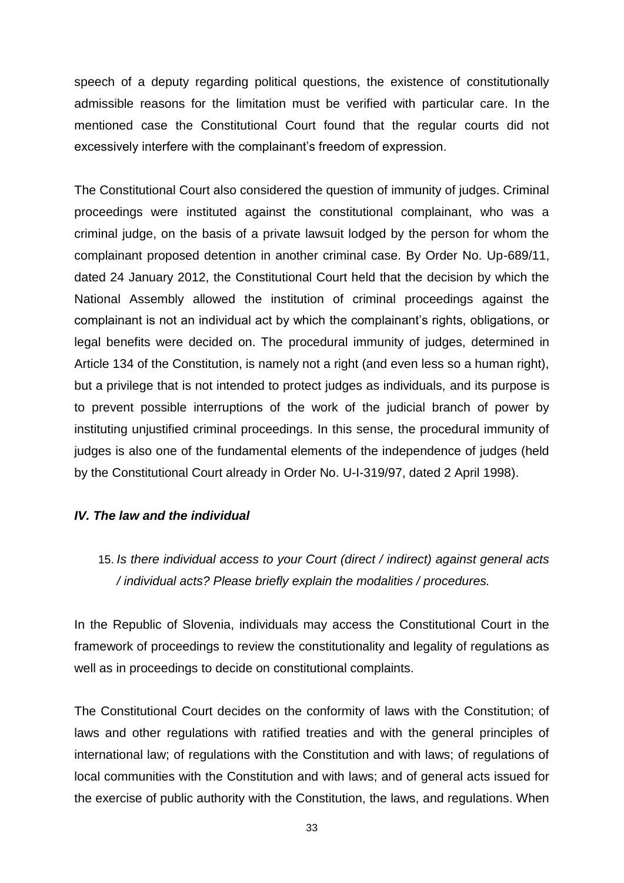speech of a deputy regarding political questions, the existence of constitutionally admissible reasons for the limitation must be verified with particular care. In the mentioned case the Constitutional Court found that the regular courts did not excessively interfere with the complainant's freedom of expression.

The Constitutional Court also considered the question of immunity of judges. Criminal proceedings were instituted against the constitutional complainant, who was a criminal judge, on the basis of a private lawsuit lodged by the person for whom the complainant proposed detention in another criminal case. By Order No. Up-689/11, dated 24 January 2012, the Constitutional Court held that the decision by which the National Assembly allowed the institution of criminal proceedings against the complainant is not an individual act by which the complainant's rights, obligations, or legal benefits were decided on. The procedural immunity of judges, determined in Article 134 of the Constitution, is namely not a right (and even less so a human right), but a privilege that is not intended to protect judges as individuals, and its purpose is to prevent possible interruptions of the work of the judicial branch of power by instituting unjustified criminal proceedings. In this sense, the procedural immunity of judges is also one of the fundamental elements of the independence of judges (held by the Constitutional Court already in Order No. U-I-319/97, dated 2 April 1998).

### *IV. The law and the individual*

# 15. *Is there individual access to your Court (direct / indirect) against general acts / individual acts? Please briefly explain the modalities / procedures.*

In the Republic of Slovenia, individuals may access the Constitutional Court in the framework of proceedings to review the constitutionality and legality of regulations as well as in proceedings to decide on constitutional complaints.

The Constitutional Court decides on the conformity of laws with the Constitution; of laws and other regulations with ratified treaties and with the general principles of international law; of regulations with the Constitution and with laws; of regulations of local communities with the Constitution and with laws; and of general acts issued for the exercise of public authority with the Constitution, the laws, and regulations. When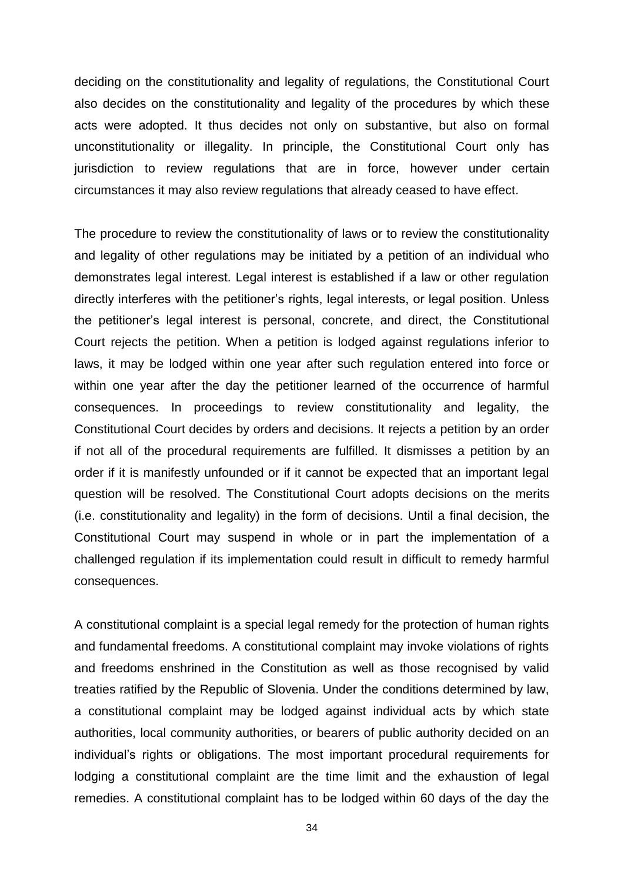deciding on the constitutionality and legality of regulations, the Constitutional Court also decides on the constitutionality and legality of the procedures by which these acts were adopted. It thus decides not only on substantive, but also on formal unconstitutionality or illegality. In principle, the Constitutional Court only has jurisdiction to review regulations that are in force, however under certain circumstances it may also review regulations that already ceased to have effect.

The procedure to review the constitutionality of laws or to review the constitutionality and legality of other regulations may be initiated by a petition of an individual who demonstrates legal interest. Legal interest is established if a law or other regulation directly interferes with the petitioner's rights, legal interests, or legal position. Unless the petitioner's legal interest is personal, concrete, and direct, the Constitutional Court rejects the petition. When a petition is lodged against regulations inferior to laws, it may be lodged within one year after such regulation entered into force or within one year after the day the petitioner learned of the occurrence of harmful consequences. In proceedings to review constitutionality and legality, the Constitutional Court decides by orders and decisions. It rejects a petition by an order if not all of the procedural requirements are fulfilled. It dismisses a petition by an order if it is manifestly unfounded or if it cannot be expected that an important legal question will be resolved. The Constitutional Court adopts decisions on the merits (i.e. constitutionality and legality) in the form of decisions. Until a final decision, the Constitutional Court may suspend in whole or in part the implementation of a challenged regulation if its implementation could result in difficult to remedy harmful consequences.

A constitutional complaint is a special legal remedy for the protection of human rights and fundamental freedoms. A constitutional complaint may invoke violations of rights and freedoms enshrined in the Constitution as well as those recognised by valid treaties ratified by the Republic of Slovenia. Under the conditions determined by law, a constitutional complaint may be lodged against individual acts by which state authorities, local community authorities, or bearers of public authority decided on an individual's rights or obligations. The most important procedural requirements for lodging a constitutional complaint are the time limit and the exhaustion of legal remedies. A constitutional complaint has to be lodged within 60 days of the day the

34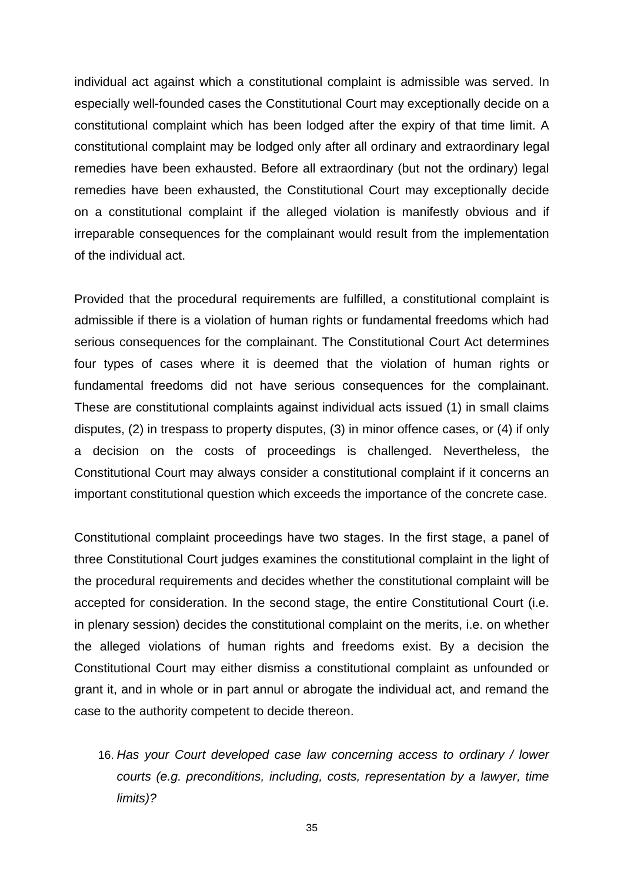individual act against which a constitutional complaint is admissible was served. In especially well-founded cases the Constitutional Court may exceptionally decide on a constitutional complaint which has been lodged after the expiry of that time limit. A constitutional complaint may be lodged only after all ordinary and extraordinary legal remedies have been exhausted. Before all extraordinary (but not the ordinary) legal remedies have been exhausted, the Constitutional Court may exceptionally decide on a constitutional complaint if the alleged violation is manifestly obvious and if irreparable consequences for the complainant would result from the implementation of the individual act.

Provided that the procedural requirements are fulfilled, a constitutional complaint is admissible if there is a violation of human rights or fundamental freedoms which had serious consequences for the complainant. The Constitutional Court Act determines four types of cases where it is deemed that the violation of human rights or fundamental freedoms did not have serious consequences for the complainant. These are constitutional complaints against individual acts issued (1) in small claims disputes, (2) in trespass to property disputes, (3) in minor offence cases, or (4) if only a decision on the costs of proceedings is challenged. Nevertheless, the Constitutional Court may always consider a constitutional complaint if it concerns an important constitutional question which exceeds the importance of the concrete case.

Constitutional complaint proceedings have two stages. In the first stage, a panel of three Constitutional Court judges examines the constitutional complaint in the light of the procedural requirements and decides whether the constitutional complaint will be accepted for consideration. In the second stage, the entire Constitutional Court (i.e. in plenary session) decides the constitutional complaint on the merits, i.e. on whether the alleged violations of human rights and freedoms exist. By a decision the Constitutional Court may either dismiss a constitutional complaint as unfounded or grant it, and in whole or in part annul or abrogate the individual act, and remand the case to the authority competent to decide thereon.

16. *Has your Court developed case law concerning access to ordinary / lower courts (e.g. preconditions, including, costs, representation by a lawyer, time limits)?*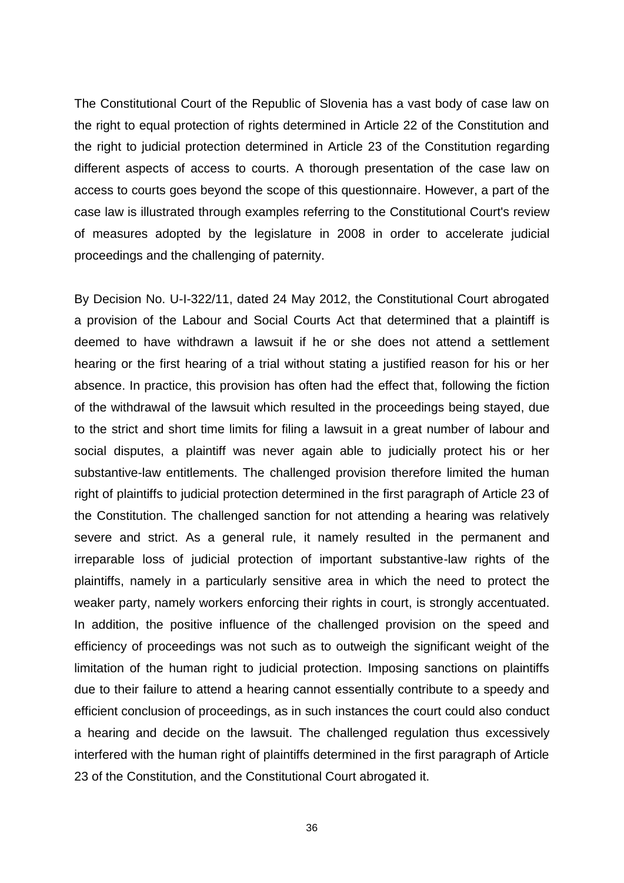The Constitutional Court of the Republic of Slovenia has a vast body of case law on the right to equal protection of rights determined in Article 22 of the Constitution and the right to judicial protection determined in Article 23 of the Constitution regarding different aspects of access to courts. A thorough presentation of the case law on access to courts goes beyond the scope of this questionnaire. However, a part of the case law is illustrated through examples referring to the Constitutional Court's review of measures adopted by the legislature in 2008 in order to accelerate judicial proceedings and the challenging of paternity.

By Decision No. U-I-322/11, dated 24 May 2012, the Constitutional Court abrogated a provision of the Labour and Social Courts Act that determined that a plaintiff is deemed to have withdrawn a lawsuit if he or she does not attend a settlement hearing or the first hearing of a trial without stating a justified reason for his or her absence. In practice, this provision has often had the effect that, following the fiction of the withdrawal of the lawsuit which resulted in the proceedings being stayed, due to the strict and short time limits for filing a lawsuit in a great number of labour and social disputes, a plaintiff was never again able to judicially protect his or her substantive-law entitlements. The challenged provision therefore limited the human right of plaintiffs to judicial protection determined in the first paragraph of Article 23 of the Constitution. The challenged sanction for not attending a hearing was relatively severe and strict. As a general rule, it namely resulted in the permanent and irreparable loss of judicial protection of important substantive-law rights of the plaintiffs, namely in a particularly sensitive area in which the need to protect the weaker party, namely workers enforcing their rights in court, is strongly accentuated. In addition, the positive influence of the challenged provision on the speed and efficiency of proceedings was not such as to outweigh the significant weight of the limitation of the human right to judicial protection. Imposing sanctions on plaintiffs due to their failure to attend a hearing cannot essentially contribute to a speedy and efficient conclusion of proceedings, as in such instances the court could also conduct a hearing and decide on the lawsuit. The challenged regulation thus excessively interfered with the human right of plaintiffs determined in the first paragraph of Article 23 of the Constitution, and the Constitutional Court abrogated it.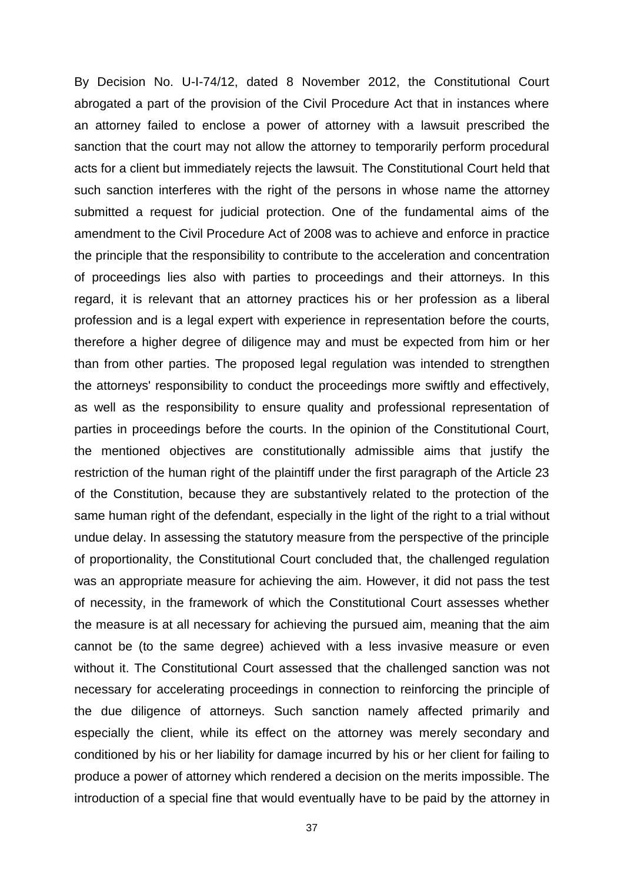By Decision No. U-I-74/12, dated 8 November 2012, the Constitutional Court abrogated a part of the provision of the Civil Procedure Act that in instances where an attorney failed to enclose a power of attorney with a lawsuit prescribed the sanction that the court may not allow the attorney to temporarily perform procedural acts for a client but immediately rejects the lawsuit. The Constitutional Court held that such sanction interferes with the right of the persons in whose name the attorney submitted a request for judicial protection. One of the fundamental aims of the amendment to the Civil Procedure Act of 2008 was to achieve and enforce in practice the principle that the responsibility to contribute to the acceleration and concentration of proceedings lies also with parties to proceedings and their attorneys. In this regard, it is relevant that an attorney practices his or her profession as a liberal profession and is a legal expert with experience in representation before the courts, therefore a higher degree of diligence may and must be expected from him or her than from other parties. The proposed legal regulation was intended to strengthen the attorneys' responsibility to conduct the proceedings more swiftly and effectively, as well as the responsibility to ensure quality and professional representation of parties in proceedings before the courts. In the opinion of the Constitutional Court, the mentioned objectives are constitutionally admissible aims that justify the restriction of the human right of the plaintiff under the first paragraph of the Article 23 of the Constitution, because they are substantively related to the protection of the same human right of the defendant, especially in the light of the right to a trial without undue delay. In assessing the statutory measure from the perspective of the principle of proportionality, the Constitutional Court concluded that, the challenged regulation was an appropriate measure for achieving the aim. However, it did not pass the test of necessity, in the framework of which the Constitutional Court assesses whether the measure is at all necessary for achieving the pursued aim, meaning that the aim cannot be (to the same degree) achieved with a less invasive measure or even without it. The Constitutional Court assessed that the challenged sanction was not necessary for accelerating proceedings in connection to reinforcing the principle of the due diligence of attorneys. Such sanction namely affected primarily and especially the client, while its effect on the attorney was merely secondary and conditioned by his or her liability for damage incurred by his or her client for failing to produce a power of attorney which rendered a decision on the merits impossible. The introduction of a special fine that would eventually have to be paid by the attorney in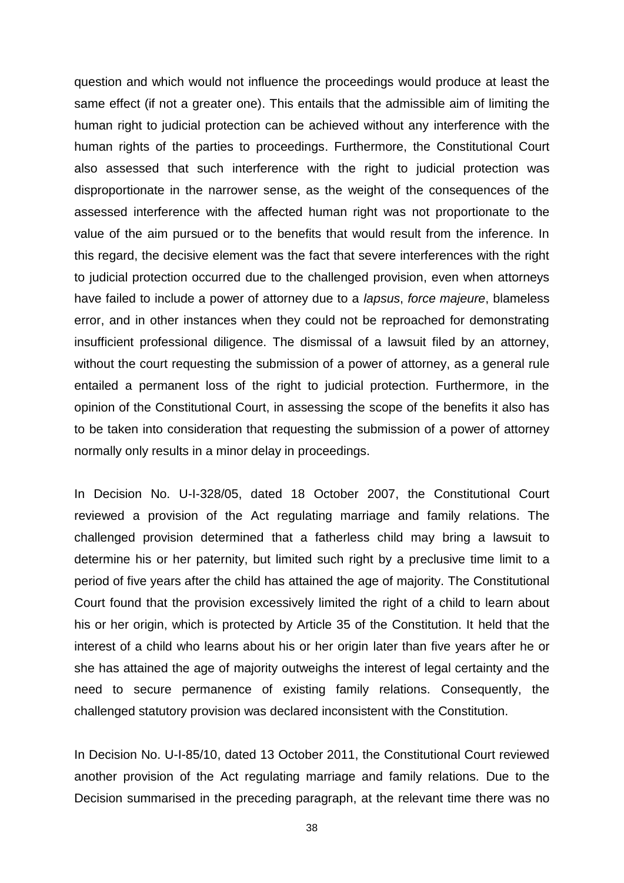question and which would not influence the proceedings would produce at least the same effect (if not a greater one). This entails that the admissible aim of limiting the human right to judicial protection can be achieved without any interference with the human rights of the parties to proceedings. Furthermore, the Constitutional Court also assessed that such interference with the right to judicial protection was disproportionate in the narrower sense, as the weight of the consequences of the assessed interference with the affected human right was not proportionate to the value of the aim pursued or to the benefits that would result from the inference. In this regard, the decisive element was the fact that severe interferences with the right to judicial protection occurred due to the challenged provision, even when attorneys have failed to include a power of attorney due to a *lapsus*, *force majeure*, blameless error, and in other instances when they could not be reproached for demonstrating insufficient professional diligence. The dismissal of a lawsuit filed by an attorney, without the court requesting the submission of a power of attorney, as a general rule entailed a permanent loss of the right to judicial protection. Furthermore, in the opinion of the Constitutional Court, in assessing the scope of the benefits it also has to be taken into consideration that requesting the submission of a power of attorney normally only results in a minor delay in proceedings.

In Decision No. U-I-328/05, dated 18 October 2007, the Constitutional Court reviewed a provision of the Act regulating marriage and family relations. The challenged provision determined that a fatherless child may bring a lawsuit to determine his or her paternity, but limited such right by a preclusive time limit to a period of five years after the child has attained the age of majority. The Constitutional Court found that the provision excessively limited the right of a child to learn about his or her origin, which is protected by Article 35 of the Constitution. It held that the interest of a child who learns about his or her origin later than five years after he or she has attained the age of majority outweighs the interest of legal certainty and the need to secure permanence of existing family relations. Consequently, the challenged statutory provision was declared inconsistent with the Constitution.

In Decision No. U-I-85/10, dated 13 October 2011, the Constitutional Court reviewed another provision of the Act regulating marriage and family relations. Due to the Decision summarised in the preceding paragraph, at the relevant time there was no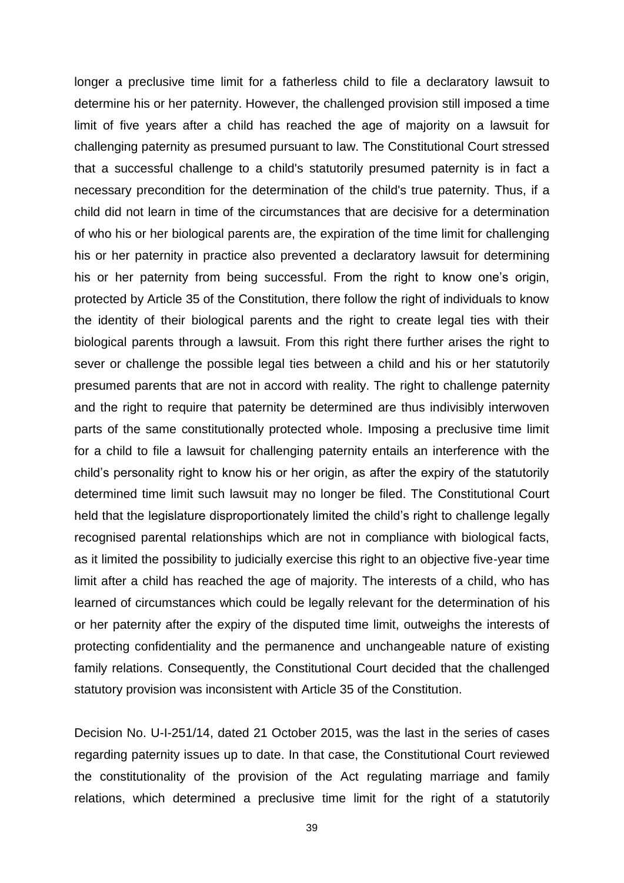longer a preclusive time limit for a fatherless child to file a declaratory lawsuit to determine his or her paternity. However, the challenged provision still imposed a time limit of five years after a child has reached the age of majority on a lawsuit for challenging paternity as presumed pursuant to law. The Constitutional Court stressed that a successful challenge to a child's statutorily presumed paternity is in fact a necessary precondition for the determination of the child's true paternity. Thus, if a child did not learn in time of the circumstances that are decisive for a determination of who his or her biological parents are, the expiration of the time limit for challenging his or her paternity in practice also prevented a declaratory lawsuit for determining his or her paternity from being successful. From the right to know one's origin, protected by Article 35 of the Constitution, there follow the right of individuals to know the identity of their biological parents and the right to create legal ties with their biological parents through a lawsuit. From this right there further arises the right to sever or challenge the possible legal ties between a child and his or her statutorily presumed parents that are not in accord with reality. The right to challenge paternity and the right to require that paternity be determined are thus indivisibly interwoven parts of the same constitutionally protected whole. Imposing a preclusive time limit for a child to file a lawsuit for challenging paternity entails an interference with the child's personality right to know his or her origin, as after the expiry of the statutorily determined time limit such lawsuit may no longer be filed. The Constitutional Court held that the legislature disproportionately limited the child's right to challenge legally recognised parental relationships which are not in compliance with biological facts, as it limited the possibility to judicially exercise this right to an objective five-year time limit after a child has reached the age of majority. The interests of a child, who has learned of circumstances which could be legally relevant for the determination of his or her paternity after the expiry of the disputed time limit, outweighs the interests of protecting confidentiality and the permanence and unchangeable nature of existing family relations. Consequently, the Constitutional Court decided that the challenged statutory provision was inconsistent with Article 35 of the Constitution.

Decision No. U-I-251/14, dated 21 October 2015, was the last in the series of cases regarding paternity issues up to date. In that case, the Constitutional Court reviewed the constitutionality of the provision of the Act regulating marriage and family relations, which determined a preclusive time limit for the right of a statutorily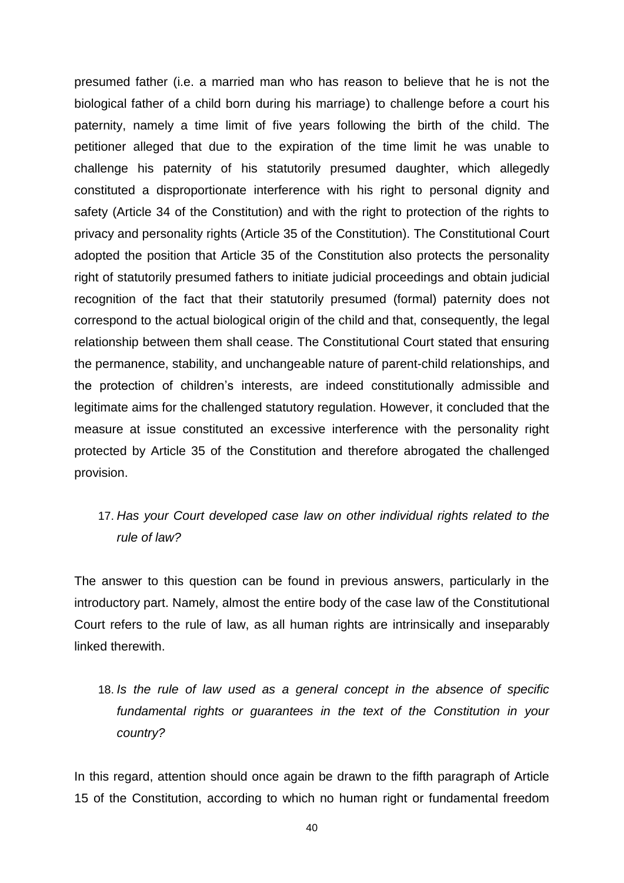presumed father (i.e. a married man who has reason to believe that he is not the biological father of a child born during his marriage) to challenge before a court his paternity, namely a time limit of five years following the birth of the child. The petitioner alleged that due to the expiration of the time limit he was unable to challenge his paternity of his statutorily presumed daughter, which allegedly constituted a disproportionate interference with his right to personal dignity and safety (Article 34 of the Constitution) and with the right to protection of the rights to privacy and personality rights (Article 35 of the Constitution). The Constitutional Court adopted the position that Article 35 of the Constitution also protects the personality right of statutorily presumed fathers to initiate judicial proceedings and obtain judicial recognition of the fact that their statutorily presumed (formal) paternity does not correspond to the actual biological origin of the child and that, consequently, the legal relationship between them shall cease. The Constitutional Court stated that ensuring the permanence, stability, and unchangeable nature of parent-child relationships, and the protection of children's interests, are indeed constitutionally admissible and legitimate aims for the challenged statutory regulation. However, it concluded that the measure at issue constituted an excessive interference with the personality right protected by Article 35 of the Constitution and therefore abrogated the challenged provision.

# 17. *Has your Court developed case law on other individual rights related to the rule of law?*

The answer to this question can be found in previous answers, particularly in the introductory part. Namely, almost the entire body of the case law of the Constitutional Court refers to the rule of law, as all human rights are intrinsically and inseparably linked therewith.

18. *Is the rule of law used as a general concept in the absence of specific fundamental rights or guarantees in the text of the Constitution in your country?* 

In this regard, attention should once again be drawn to the fifth paragraph of Article 15 of the Constitution, according to which no human right or fundamental freedom